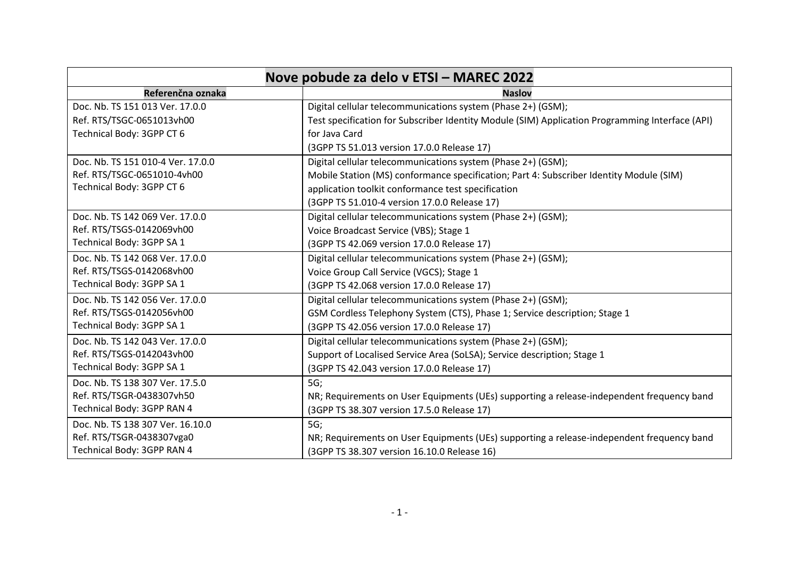| Nove pobude za delo v ETSI - MAREC 2022 |                                                                                                 |
|-----------------------------------------|-------------------------------------------------------------------------------------------------|
| Referenčna oznaka                       | <b>Naslov</b>                                                                                   |
| Doc. Nb. TS 151 013 Ver. 17.0.0         | Digital cellular telecommunications system (Phase 2+) (GSM);                                    |
| Ref. RTS/TSGC-0651013vh00               | Test specification for Subscriber Identity Module (SIM) Application Programming Interface (API) |
| Technical Body: 3GPP CT 6               | for Java Card                                                                                   |
|                                         | (3GPP TS 51.013 version 17.0.0 Release 17)                                                      |
| Doc. Nb. TS 151 010-4 Ver. 17.0.0       | Digital cellular telecommunications system (Phase 2+) (GSM);                                    |
| Ref. RTS/TSGC-0651010-4vh00             | Mobile Station (MS) conformance specification; Part 4: Subscriber Identity Module (SIM)         |
| Technical Body: 3GPP CT 6               | application toolkit conformance test specification                                              |
|                                         | (3GPP TS 51.010-4 version 17.0.0 Release 17)                                                    |
| Doc. Nb. TS 142 069 Ver. 17.0.0         | Digital cellular telecommunications system (Phase 2+) (GSM);                                    |
| Ref. RTS/TSGS-0142069vh00               | Voice Broadcast Service (VBS); Stage 1                                                          |
| Technical Body: 3GPP SA 1               | (3GPP TS 42.069 version 17.0.0 Release 17)                                                      |
| Doc. Nb. TS 142 068 Ver. 17.0.0         | Digital cellular telecommunications system (Phase 2+) (GSM);                                    |
| Ref. RTS/TSGS-0142068vh00               | Voice Group Call Service (VGCS); Stage 1                                                        |
| Technical Body: 3GPP SA 1               | (3GPP TS 42.068 version 17.0.0 Release 17)                                                      |
| Doc. Nb. TS 142 056 Ver. 17.0.0         | Digital cellular telecommunications system (Phase 2+) (GSM);                                    |
| Ref. RTS/TSGS-0142056vh00               | GSM Cordless Telephony System (CTS), Phase 1; Service description; Stage 1                      |
| Technical Body: 3GPP SA 1               | (3GPP TS 42.056 version 17.0.0 Release 17)                                                      |
| Doc. Nb. TS 142 043 Ver. 17.0.0         | Digital cellular telecommunications system (Phase 2+) (GSM);                                    |
| Ref. RTS/TSGS-0142043vh00               | Support of Localised Service Area (SoLSA); Service description; Stage 1                         |
| Technical Body: 3GPP SA 1               | (3GPP TS 42.043 version 17.0.0 Release 17)                                                      |
| Doc. Nb. TS 138 307 Ver. 17.5.0         | 5G;                                                                                             |
| Ref. RTS/TSGR-0438307vh50               | NR; Requirements on User Equipments (UEs) supporting a release-independent frequency band       |
| Technical Body: 3GPP RAN 4              | (3GPP TS 38.307 version 17.5.0 Release 17)                                                      |
| Doc. Nb. TS 138 307 Ver. 16.10.0        | 5G;                                                                                             |
| Ref. RTS/TSGR-0438307vga0               | NR; Requirements on User Equipments (UEs) supporting a release-independent frequency band       |
| Technical Body: 3GPP RAN 4              | (3GPP TS 38.307 version 16.10.0 Release 16)                                                     |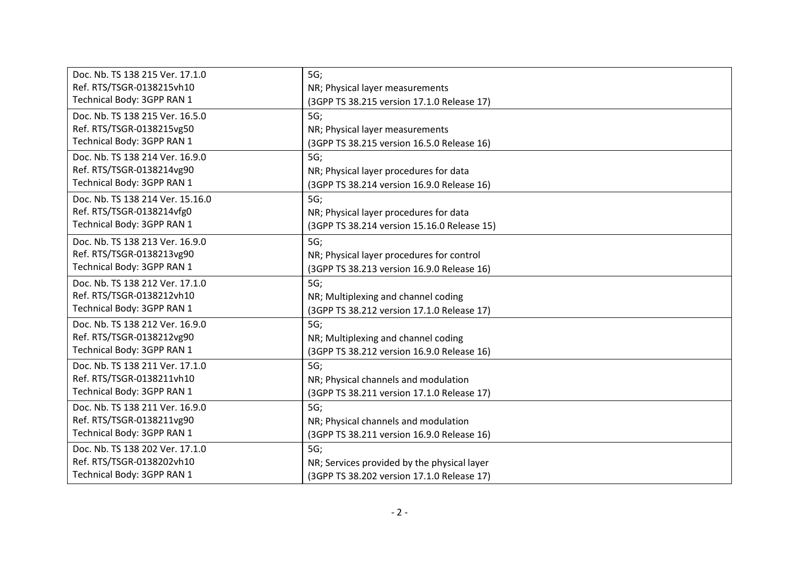| Doc. Nb. TS 138 215 Ver. 17.1.0  | 5G;                                         |
|----------------------------------|---------------------------------------------|
| Ref. RTS/TSGR-0138215vh10        |                                             |
|                                  | NR; Physical layer measurements             |
| Technical Body: 3GPP RAN 1       | (3GPP TS 38.215 version 17.1.0 Release 17)  |
| Doc. Nb. TS 138 215 Ver. 16.5.0  | 5G;                                         |
| Ref. RTS/TSGR-0138215vg50        | NR; Physical layer measurements             |
| Technical Body: 3GPP RAN 1       | (3GPP TS 38.215 version 16.5.0 Release 16)  |
| Doc. Nb. TS 138 214 Ver. 16.9.0  | 5G;                                         |
| Ref. RTS/TSGR-0138214vg90        | NR; Physical layer procedures for data      |
| Technical Body: 3GPP RAN 1       | (3GPP TS 38.214 version 16.9.0 Release 16)  |
| Doc. Nb. TS 138 214 Ver. 15.16.0 | 5G;                                         |
| Ref. RTS/TSGR-0138214vfg0        | NR; Physical layer procedures for data      |
| Technical Body: 3GPP RAN 1       | (3GPP TS 38.214 version 15.16.0 Release 15) |
| Doc. Nb. TS 138 213 Ver. 16.9.0  | 5G;                                         |
| Ref. RTS/TSGR-0138213vg90        | NR; Physical layer procedures for control   |
| Technical Body: 3GPP RAN 1       | (3GPP TS 38.213 version 16.9.0 Release 16)  |
| Doc. Nb. TS 138 212 Ver. 17.1.0  | 5G;                                         |
| Ref. RTS/TSGR-0138212vh10        | NR; Multiplexing and channel coding         |
| Technical Body: 3GPP RAN 1       | (3GPP TS 38.212 version 17.1.0 Release 17)  |
| Doc. Nb. TS 138 212 Ver. 16.9.0  | 5G;                                         |
| Ref. RTS/TSGR-0138212vg90        | NR; Multiplexing and channel coding         |
| Technical Body: 3GPP RAN 1       |                                             |
|                                  | (3GPP TS 38.212 version 16.9.0 Release 16)  |
| Doc. Nb. TS 138 211 Ver. 17.1.0  | 5G;                                         |
| Ref. RTS/TSGR-0138211vh10        | NR; Physical channels and modulation        |
| Technical Body: 3GPP RAN 1       | (3GPP TS 38.211 version 17.1.0 Release 17)  |
| Doc. Nb. TS 138 211 Ver. 16.9.0  | 5G;                                         |
| Ref. RTS/TSGR-0138211vg90        | NR; Physical channels and modulation        |
| Technical Body: 3GPP RAN 1       | (3GPP TS 38.211 version 16.9.0 Release 16)  |
| Doc. Nb. TS 138 202 Ver. 17.1.0  | 5G;                                         |
| Ref. RTS/TSGR-0138202vh10        | NR; Services provided by the physical layer |
| Technical Body: 3GPP RAN 1       | (3GPP TS 38.202 version 17.1.0 Release 17)  |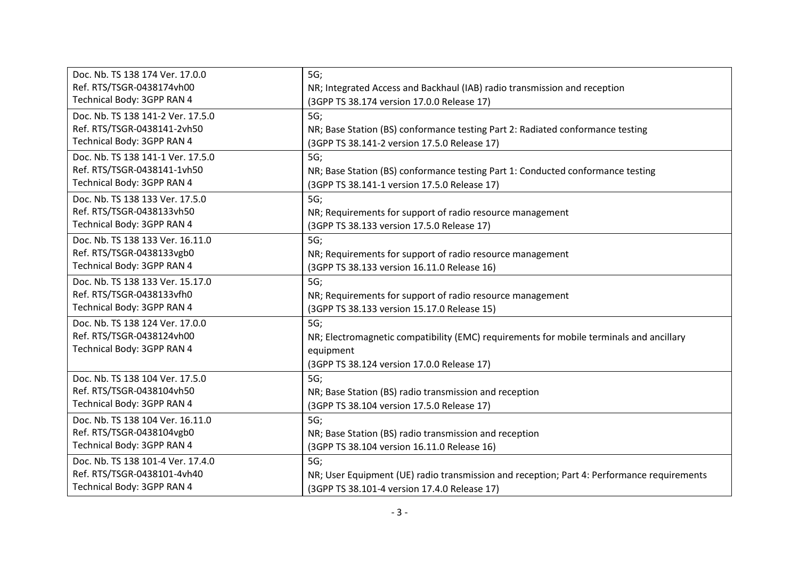| Doc. Nb. TS 138 174 Ver. 17.0.0   | 5G;                                                                                        |
|-----------------------------------|--------------------------------------------------------------------------------------------|
| Ref. RTS/TSGR-0438174vh00         | NR; Integrated Access and Backhaul (IAB) radio transmission and reception                  |
| Technical Body: 3GPP RAN 4        | (3GPP TS 38.174 version 17.0.0 Release 17)                                                 |
| Doc. Nb. TS 138 141-2 Ver. 17.5.0 | 5G;                                                                                        |
| Ref. RTS/TSGR-0438141-2vh50       | NR; Base Station (BS) conformance testing Part 2: Radiated conformance testing             |
| Technical Body: 3GPP RAN 4        | (3GPP TS 38.141-2 version 17.5.0 Release 17)                                               |
| Doc. Nb. TS 138 141-1 Ver. 17.5.0 | 5G;                                                                                        |
| Ref. RTS/TSGR-0438141-1vh50       | NR; Base Station (BS) conformance testing Part 1: Conducted conformance testing            |
| Technical Body: 3GPP RAN 4        | (3GPP TS 38.141-1 version 17.5.0 Release 17)                                               |
| Doc. Nb. TS 138 133 Ver. 17.5.0   | 5G;                                                                                        |
| Ref. RTS/TSGR-0438133vh50         | NR; Requirements for support of radio resource management                                  |
| Technical Body: 3GPP RAN 4        | (3GPP TS 38.133 version 17.5.0 Release 17)                                                 |
| Doc. Nb. TS 138 133 Ver. 16.11.0  | 5G;                                                                                        |
| Ref. RTS/TSGR-0438133vgb0         | NR; Requirements for support of radio resource management                                  |
| Technical Body: 3GPP RAN 4        |                                                                                            |
|                                   | (3GPP TS 38.133 version 16.11.0 Release 16)                                                |
| Doc. Nb. TS 138 133 Ver. 15.17.0  | 5G;                                                                                        |
| Ref. RTS/TSGR-0438133vfh0         | NR; Requirements for support of radio resource management                                  |
| Technical Body: 3GPP RAN 4        | (3GPP TS 38.133 version 15.17.0 Release 15)                                                |
| Doc. Nb. TS 138 124 Ver. 17.0.0   | 5G;                                                                                        |
| Ref. RTS/TSGR-0438124vh00         | NR; Electromagnetic compatibility (EMC) requirements for mobile terminals and ancillary    |
| Technical Body: 3GPP RAN 4        | equipment                                                                                  |
|                                   | (3GPP TS 38.124 version 17.0.0 Release 17)                                                 |
| Doc. Nb. TS 138 104 Ver. 17.5.0   | 5G;                                                                                        |
| Ref. RTS/TSGR-0438104vh50         | NR; Base Station (BS) radio transmission and reception                                     |
| Technical Body: 3GPP RAN 4        | (3GPP TS 38.104 version 17.5.0 Release 17)                                                 |
| Doc. Nb. TS 138 104 Ver. 16.11.0  | 5G;                                                                                        |
| Ref. RTS/TSGR-0438104vgb0         | NR; Base Station (BS) radio transmission and reception                                     |
| Technical Body: 3GPP RAN 4        | (3GPP TS 38.104 version 16.11.0 Release 16)                                                |
| Doc. Nb. TS 138 101-4 Ver. 17.4.0 | 5G;                                                                                        |
| Ref. RTS/TSGR-0438101-4vh40       | NR; User Equipment (UE) radio transmission and reception; Part 4: Performance requirements |
| Technical Body: 3GPP RAN 4        | (3GPP TS 38.101-4 version 17.4.0 Release 17)                                               |
|                                   |                                                                                            |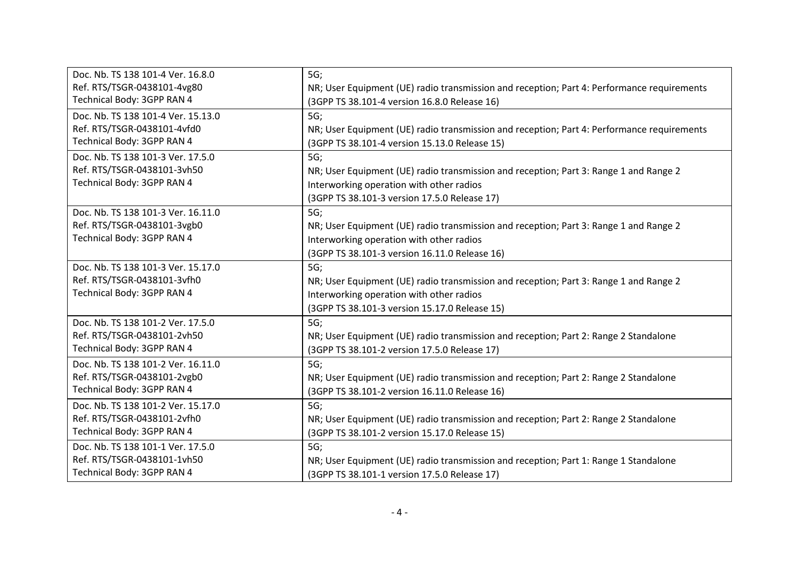| Doc. Nb. TS 138 101-4 Ver. 16.8.0                                                               | 5G;                                                                                                                                                                                       |
|-------------------------------------------------------------------------------------------------|-------------------------------------------------------------------------------------------------------------------------------------------------------------------------------------------|
| Ref. RTS/TSGR-0438101-4vg80                                                                     | NR; User Equipment (UE) radio transmission and reception; Part 4: Performance requirements                                                                                                |
| Technical Body: 3GPP RAN 4                                                                      | (3GPP TS 38.101-4 version 16.8.0 Release 16)                                                                                                                                              |
| Doc. Nb. TS 138 101-4 Ver. 15.13.0                                                              | 5G;                                                                                                                                                                                       |
| Ref. RTS/TSGR-0438101-4vfd0                                                                     | NR; User Equipment (UE) radio transmission and reception; Part 4: Performance requirements                                                                                                |
| Technical Body: 3GPP RAN 4                                                                      | (3GPP TS 38.101-4 version 15.13.0 Release 15)                                                                                                                                             |
| Doc. Nb. TS 138 101-3 Ver. 17.5.0<br>Ref. RTS/TSGR-0438101-3vh50<br>Technical Body: 3GPP RAN 4  | 5G;<br>NR; User Equipment (UE) radio transmission and reception; Part 3: Range 1 and Range 2<br>Interworking operation with other radios<br>(3GPP TS 38.101-3 version 17.5.0 Release 17)  |
| Doc. Nb. TS 138 101-3 Ver. 16.11.0<br>Ref. RTS/TSGR-0438101-3vgb0<br>Technical Body: 3GPP RAN 4 | 5G;<br>NR; User Equipment (UE) radio transmission and reception; Part 3: Range 1 and Range 2<br>Interworking operation with other radios<br>(3GPP TS 38.101-3 version 16.11.0 Release 16) |
| Doc. Nb. TS 138 101-3 Ver. 15.17.0<br>Ref. RTS/TSGR-0438101-3vfh0<br>Technical Body: 3GPP RAN 4 | 5G;<br>NR; User Equipment (UE) radio transmission and reception; Part 3: Range 1 and Range 2<br>Interworking operation with other radios<br>(3GPP TS 38.101-3 version 15.17.0 Release 15) |
| Doc. Nb. TS 138 101-2 Ver. 17.5.0                                                               | 5G;                                                                                                                                                                                       |
| Ref. RTS/TSGR-0438101-2vh50                                                                     | NR; User Equipment (UE) radio transmission and reception; Part 2: Range 2 Standalone                                                                                                      |
| Technical Body: 3GPP RAN 4                                                                      | (3GPP TS 38.101-2 version 17.5.0 Release 17)                                                                                                                                              |
| Doc. Nb. TS 138 101-2 Ver. 16.11.0                                                              | 5G;                                                                                                                                                                                       |
| Ref. RTS/TSGR-0438101-2vgb0                                                                     | NR; User Equipment (UE) radio transmission and reception; Part 2: Range 2 Standalone                                                                                                      |
| Technical Body: 3GPP RAN 4                                                                      | (3GPP TS 38.101-2 version 16.11.0 Release 16)                                                                                                                                             |
| Doc. Nb. TS 138 101-2 Ver. 15.17.0                                                              | 5G;                                                                                                                                                                                       |
| Ref. RTS/TSGR-0438101-2vfh0                                                                     | NR; User Equipment (UE) radio transmission and reception; Part 2: Range 2 Standalone                                                                                                      |
| Technical Body: 3GPP RAN 4                                                                      | (3GPP TS 38.101-2 version 15.17.0 Release 15)                                                                                                                                             |
| Doc. Nb. TS 138 101-1 Ver. 17.5.0                                                               | 5G;                                                                                                                                                                                       |
| Ref. RTS/TSGR-0438101-1vh50                                                                     | NR; User Equipment (UE) radio transmission and reception; Part 1: Range 1 Standalone                                                                                                      |
| Technical Body: 3GPP RAN 4                                                                      | (3GPP TS 38.101-1 version 17.5.0 Release 17)                                                                                                                                              |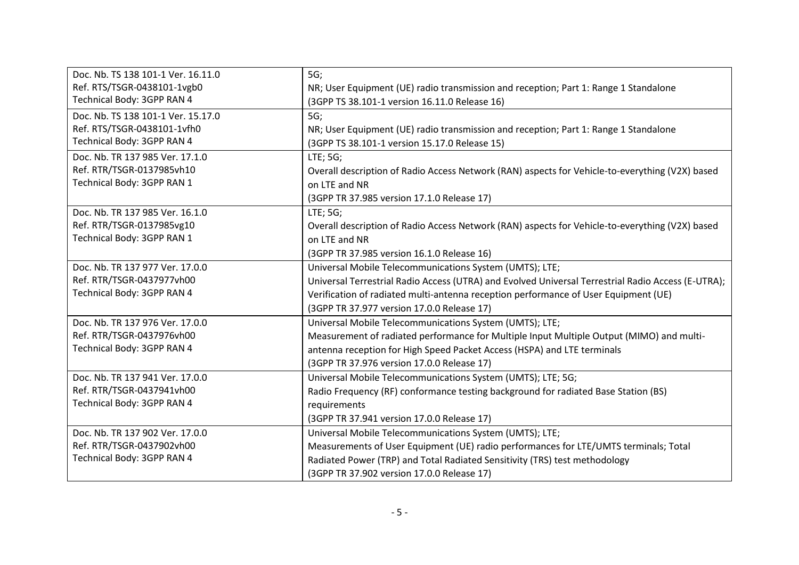| Doc. Nb. TS 138 101-1 Ver. 16.11.0 | 5G;                                                                                                |
|------------------------------------|----------------------------------------------------------------------------------------------------|
| Ref. RTS/TSGR-0438101-1vgb0        | NR; User Equipment (UE) radio transmission and reception; Part 1: Range 1 Standalone               |
| Technical Body: 3GPP RAN 4         | (3GPP TS 38.101-1 version 16.11.0 Release 16)                                                      |
| Doc. Nb. TS 138 101-1 Ver. 15.17.0 | 5G;                                                                                                |
| Ref. RTS/TSGR-0438101-1vfh0        | NR; User Equipment (UE) radio transmission and reception; Part 1: Range 1 Standalone               |
| Technical Body: 3GPP RAN 4         | (3GPP TS 38.101-1 version 15.17.0 Release 15)                                                      |
| Doc. Nb. TR 137 985 Ver. 17.1.0    | LTE; 5G;                                                                                           |
| Ref. RTR/TSGR-0137985vh10          | Overall description of Radio Access Network (RAN) aspects for Vehicle-to-everything (V2X) based    |
| Technical Body: 3GPP RAN 1         | on LTE and NR                                                                                      |
|                                    | (3GPP TR 37.985 version 17.1.0 Release 17)                                                         |
| Doc. Nb. TR 137 985 Ver. 16.1.0    | LTE; 5G;                                                                                           |
| Ref. RTR/TSGR-0137985vg10          | Overall description of Radio Access Network (RAN) aspects for Vehicle-to-everything (V2X) based    |
| Technical Body: 3GPP RAN 1         | on LTE and NR                                                                                      |
|                                    | (3GPP TR 37.985 version 16.1.0 Release 16)                                                         |
| Doc. Nb. TR 137 977 Ver. 17.0.0    | Universal Mobile Telecommunications System (UMTS); LTE;                                            |
| Ref. RTR/TSGR-0437977vh00          | Universal Terrestrial Radio Access (UTRA) and Evolved Universal Terrestrial Radio Access (E-UTRA); |
| Technical Body: 3GPP RAN 4         | Verification of radiated multi-antenna reception performance of User Equipment (UE)                |
|                                    | (3GPP TR 37.977 version 17.0.0 Release 17)                                                         |
| Doc. Nb. TR 137 976 Ver. 17.0.0    | Universal Mobile Telecommunications System (UMTS); LTE;                                            |
| Ref. RTR/TSGR-0437976vh00          | Measurement of radiated performance for Multiple Input Multiple Output (MIMO) and multi-           |
| Technical Body: 3GPP RAN 4         | antenna reception for High Speed Packet Access (HSPA) and LTE terminals                            |
|                                    | (3GPP TR 37.976 version 17.0.0 Release 17)                                                         |
| Doc. Nb. TR 137 941 Ver. 17.0.0    | Universal Mobile Telecommunications System (UMTS); LTE; 5G;                                        |
| Ref. RTR/TSGR-0437941vh00          | Radio Frequency (RF) conformance testing background for radiated Base Station (BS)                 |
| Technical Body: 3GPP RAN 4         | requirements                                                                                       |
|                                    | (3GPP TR 37.941 version 17.0.0 Release 17)                                                         |
| Doc. Nb. TR 137 902 Ver. 17.0.0    | Universal Mobile Telecommunications System (UMTS); LTE;                                            |
| Ref. RTR/TSGR-0437902vh00          | Measurements of User Equipment (UE) radio performances for LTE/UMTS terminals; Total               |
| Technical Body: 3GPP RAN 4         | Radiated Power (TRP) and Total Radiated Sensitivity (TRS) test methodology                         |
|                                    | (3GPP TR 37.902 version 17.0.0 Release 17)                                                         |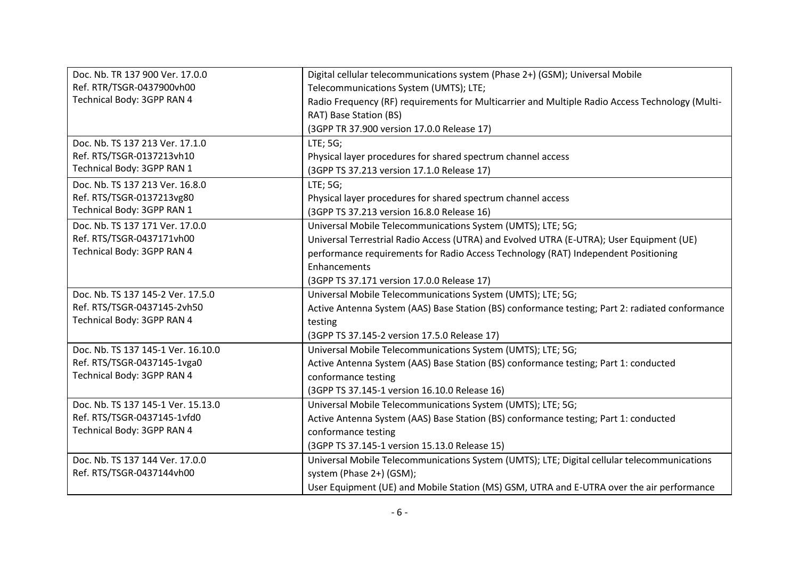| Doc. Nb. TR 137 900 Ver. 17.0.0    | Digital cellular telecommunications system (Phase 2+) (GSM); Universal Mobile                   |
|------------------------------------|-------------------------------------------------------------------------------------------------|
| Ref. RTR/TSGR-0437900vh00          | Telecommunications System (UMTS); LTE;                                                          |
| Technical Body: 3GPP RAN 4         | Radio Frequency (RF) requirements for Multicarrier and Multiple Radio Access Technology (Multi- |
|                                    | RAT) Base Station (BS)                                                                          |
|                                    | (3GPP TR 37.900 version 17.0.0 Release 17)                                                      |
| Doc. Nb. TS 137 213 Ver. 17.1.0    | LTE; 5G;                                                                                        |
| Ref. RTS/TSGR-0137213vh10          | Physical layer procedures for shared spectrum channel access                                    |
| Technical Body: 3GPP RAN 1         | (3GPP TS 37.213 version 17.1.0 Release 17)                                                      |
| Doc. Nb. TS 137 213 Ver. 16.8.0    | LTE; 5G;                                                                                        |
| Ref. RTS/TSGR-0137213vg80          | Physical layer procedures for shared spectrum channel access                                    |
| Technical Body: 3GPP RAN 1         | (3GPP TS 37.213 version 16.8.0 Release 16)                                                      |
| Doc. Nb. TS 137 171 Ver. 17.0.0    | Universal Mobile Telecommunications System (UMTS); LTE; 5G;                                     |
| Ref. RTS/TSGR-0437171vh00          | Universal Terrestrial Radio Access (UTRA) and Evolved UTRA (E-UTRA); User Equipment (UE)        |
| Technical Body: 3GPP RAN 4         | performance requirements for Radio Access Technology (RAT) Independent Positioning              |
|                                    | Enhancements                                                                                    |
|                                    | (3GPP TS 37.171 version 17.0.0 Release 17)                                                      |
| Doc. Nb. TS 137 145-2 Ver. 17.5.0  | Universal Mobile Telecommunications System (UMTS); LTE; 5G;                                     |
| Ref. RTS/TSGR-0437145-2vh50        | Active Antenna System (AAS) Base Station (BS) conformance testing; Part 2: radiated conformance |
| Technical Body: 3GPP RAN 4         | testing                                                                                         |
|                                    | (3GPP TS 37.145-2 version 17.5.0 Release 17)                                                    |
| Doc. Nb. TS 137 145-1 Ver. 16.10.0 | Universal Mobile Telecommunications System (UMTS); LTE; 5G;                                     |
| Ref. RTS/TSGR-0437145-1vga0        | Active Antenna System (AAS) Base Station (BS) conformance testing; Part 1: conducted            |
| Technical Body: 3GPP RAN 4         | conformance testing                                                                             |
|                                    | (3GPP TS 37.145-1 version 16.10.0 Release 16)                                                   |
| Doc. Nb. TS 137 145-1 Ver. 15.13.0 | Universal Mobile Telecommunications System (UMTS); LTE; 5G;                                     |
| Ref. RTS/TSGR-0437145-1vfd0        | Active Antenna System (AAS) Base Station (BS) conformance testing; Part 1: conducted            |
| Technical Body: 3GPP RAN 4         | conformance testing                                                                             |
|                                    | (3GPP TS 37.145-1 version 15.13.0 Release 15)                                                   |
| Doc. Nb. TS 137 144 Ver. 17.0.0    | Universal Mobile Telecommunications System (UMTS); LTE; Digital cellular telecommunications     |
| Ref. RTS/TSGR-0437144vh00          | system (Phase 2+) (GSM);                                                                        |
|                                    | User Equipment (UE) and Mobile Station (MS) GSM, UTRA and E-UTRA over the air performance       |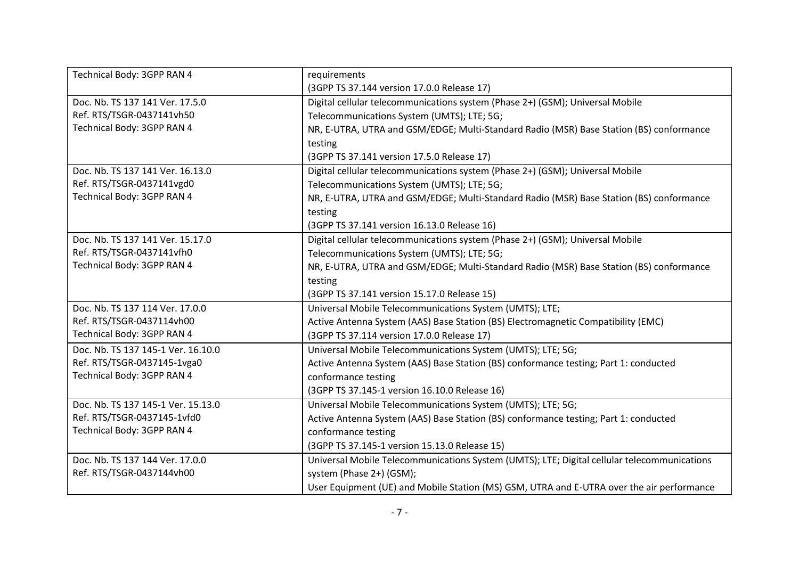| Technical Body: 3GPP RAN 4         | requirements                                                                                |
|------------------------------------|---------------------------------------------------------------------------------------------|
|                                    | (3GPP TS 37.144 version 17.0.0 Release 17)                                                  |
| Doc. Nb. TS 137 141 Ver. 17.5.0    | Digital cellular telecommunications system (Phase 2+) (GSM); Universal Mobile               |
| Ref. RTS/TSGR-0437141vh50          | Telecommunications System (UMTS); LTE; 5G;                                                  |
| Technical Body: 3GPP RAN 4         | NR, E-UTRA, UTRA and GSM/EDGE; Multi-Standard Radio (MSR) Base Station (BS) conformance     |
|                                    | testing                                                                                     |
|                                    | (3GPP TS 37.141 version 17.5.0 Release 17)                                                  |
| Doc. Nb. TS 137 141 Ver. 16.13.0   | Digital cellular telecommunications system (Phase 2+) (GSM); Universal Mobile               |
| Ref. RTS/TSGR-0437141vgd0          | Telecommunications System (UMTS); LTE; 5G;                                                  |
| Technical Body: 3GPP RAN 4         | NR, E-UTRA, UTRA and GSM/EDGE; Multi-Standard Radio (MSR) Base Station (BS) conformance     |
|                                    | testing                                                                                     |
|                                    | (3GPP TS 37.141 version 16.13.0 Release 16)                                                 |
| Doc. Nb. TS 137 141 Ver. 15.17.0   | Digital cellular telecommunications system (Phase 2+) (GSM); Universal Mobile               |
| Ref. RTS/TSGR-0437141vfh0          | Telecommunications System (UMTS); LTE; 5G;                                                  |
| Technical Body: 3GPP RAN 4         | NR, E-UTRA, UTRA and GSM/EDGE; Multi-Standard Radio (MSR) Base Station (BS) conformance     |
|                                    | testing                                                                                     |
|                                    | (3GPP TS 37.141 version 15.17.0 Release 15)                                                 |
| Doc. Nb. TS 137 114 Ver. 17.0.0    | Universal Mobile Telecommunications System (UMTS); LTE;                                     |
| Ref. RTS/TSGR-0437114vh00          | Active Antenna System (AAS) Base Station (BS) Electromagnetic Compatibility (EMC)           |
| Technical Body: 3GPP RAN 4         | (3GPP TS 37.114 version 17.0.0 Release 17)                                                  |
| Doc. Nb. TS 137 145-1 Ver. 16.10.0 | Universal Mobile Telecommunications System (UMTS); LTE; 5G;                                 |
| Ref. RTS/TSGR-0437145-1vga0        | Active Antenna System (AAS) Base Station (BS) conformance testing; Part 1: conducted        |
| Technical Body: 3GPP RAN 4         | conformance testing                                                                         |
|                                    | (3GPP TS 37.145-1 version 16.10.0 Release 16)                                               |
| Doc. Nb. TS 137 145-1 Ver. 15.13.0 | Universal Mobile Telecommunications System (UMTS); LTE; 5G;                                 |
| Ref. RTS/TSGR-0437145-1vfd0        | Active Antenna System (AAS) Base Station (BS) conformance testing; Part 1: conducted        |
| Technical Body: 3GPP RAN 4         | conformance testing                                                                         |
|                                    | (3GPP TS 37.145-1 version 15.13.0 Release 15)                                               |
| Doc. Nb. TS 137 144 Ver. 17.0.0    | Universal Mobile Telecommunications System (UMTS); LTE; Digital cellular telecommunications |
| Ref. RTS/TSGR-0437144vh00          | system (Phase 2+) (GSM);                                                                    |
|                                    | User Equipment (UE) and Mobile Station (MS) GSM, UTRA and E-UTRA over the air performance   |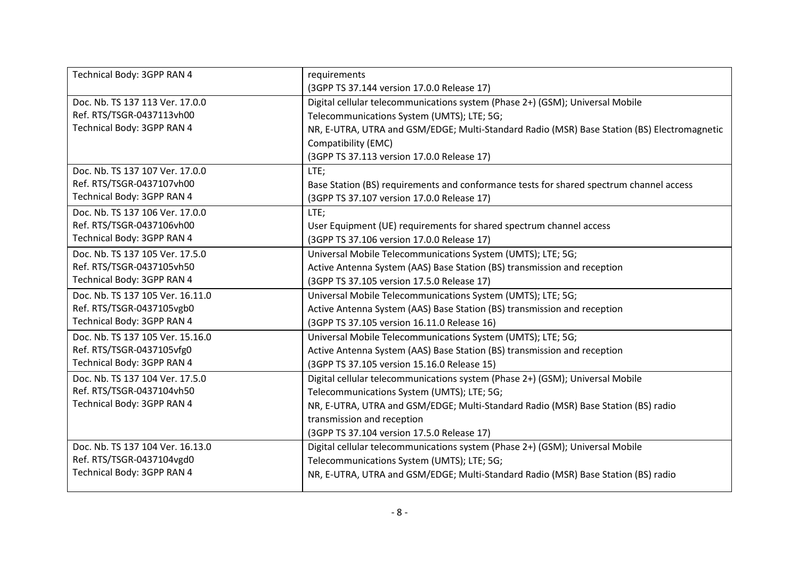| Technical Body: 3GPP RAN 4       | requirements                                                                                |
|----------------------------------|---------------------------------------------------------------------------------------------|
|                                  | (3GPP TS 37.144 version 17.0.0 Release 17)                                                  |
| Doc. Nb. TS 137 113 Ver. 17.0.0  | Digital cellular telecommunications system (Phase 2+) (GSM); Universal Mobile               |
| Ref. RTS/TSGR-0437113vh00        | Telecommunications System (UMTS); LTE; 5G;                                                  |
| Technical Body: 3GPP RAN 4       | NR, E-UTRA, UTRA and GSM/EDGE; Multi-Standard Radio (MSR) Base Station (BS) Electromagnetic |
|                                  | Compatibility (EMC)                                                                         |
|                                  | (3GPP TS 37.113 version 17.0.0 Release 17)                                                  |
| Doc. Nb. TS 137 107 Ver. 17.0.0  | LTE;                                                                                        |
| Ref. RTS/TSGR-0437107vh00        | Base Station (BS) requirements and conformance tests for shared spectrum channel access     |
| Technical Body: 3GPP RAN 4       | (3GPP TS 37.107 version 17.0.0 Release 17)                                                  |
| Doc. Nb. TS 137 106 Ver. 17.0.0  | LTE;                                                                                        |
| Ref. RTS/TSGR-0437106vh00        | User Equipment (UE) requirements for shared spectrum channel access                         |
| Technical Body: 3GPP RAN 4       | (3GPP TS 37.106 version 17.0.0 Release 17)                                                  |
| Doc. Nb. TS 137 105 Ver. 17.5.0  | Universal Mobile Telecommunications System (UMTS); LTE; 5G;                                 |
| Ref. RTS/TSGR-0437105vh50        | Active Antenna System (AAS) Base Station (BS) transmission and reception                    |
| Technical Body: 3GPP RAN 4       | (3GPP TS 37.105 version 17.5.0 Release 17)                                                  |
| Doc. Nb. TS 137 105 Ver. 16.11.0 | Universal Mobile Telecommunications System (UMTS); LTE; 5G;                                 |
| Ref. RTS/TSGR-0437105vgb0        | Active Antenna System (AAS) Base Station (BS) transmission and reception                    |
| Technical Body: 3GPP RAN 4       | (3GPP TS 37.105 version 16.11.0 Release 16)                                                 |
| Doc. Nb. TS 137 105 Ver. 15.16.0 | Universal Mobile Telecommunications System (UMTS); LTE; 5G;                                 |
| Ref. RTS/TSGR-0437105vfg0        | Active Antenna System (AAS) Base Station (BS) transmission and reception                    |
| Technical Body: 3GPP RAN 4       | (3GPP TS 37.105 version 15.16.0 Release 15)                                                 |
| Doc. Nb. TS 137 104 Ver. 17.5.0  | Digital cellular telecommunications system (Phase 2+) (GSM); Universal Mobile               |
| Ref. RTS/TSGR-0437104vh50        | Telecommunications System (UMTS); LTE; 5G;                                                  |
| Technical Body: 3GPP RAN 4       | NR, E-UTRA, UTRA and GSM/EDGE; Multi-Standard Radio (MSR) Base Station (BS) radio           |
|                                  | transmission and reception                                                                  |
|                                  | (3GPP TS 37.104 version 17.5.0 Release 17)                                                  |
| Doc. Nb. TS 137 104 Ver. 16.13.0 | Digital cellular telecommunications system (Phase 2+) (GSM); Universal Mobile               |
| Ref. RTS/TSGR-0437104vgd0        | Telecommunications System (UMTS); LTE; 5G;                                                  |
| Technical Body: 3GPP RAN 4       | NR, E-UTRA, UTRA and GSM/EDGE; Multi-Standard Radio (MSR) Base Station (BS) radio           |
|                                  |                                                                                             |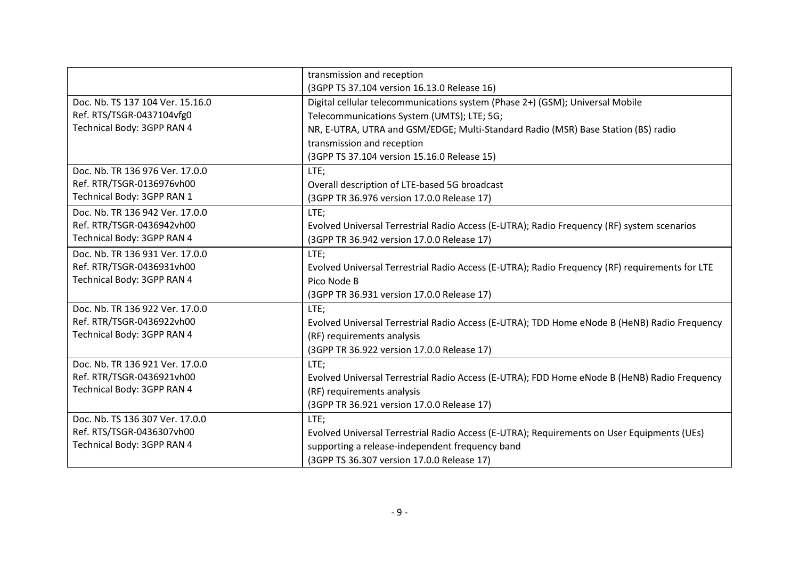|                                  | transmission and reception                                                                     |
|----------------------------------|------------------------------------------------------------------------------------------------|
|                                  | (3GPP TS 37.104 version 16.13.0 Release 16)                                                    |
| Doc. Nb. TS 137 104 Ver. 15.16.0 | Digital cellular telecommunications system (Phase 2+) (GSM); Universal Mobile                  |
| Ref. RTS/TSGR-0437104vfg0        | Telecommunications System (UMTS); LTE; 5G;                                                     |
| Technical Body: 3GPP RAN 4       | NR, E-UTRA, UTRA and GSM/EDGE; Multi-Standard Radio (MSR) Base Station (BS) radio              |
|                                  | transmission and reception                                                                     |
|                                  | (3GPP TS 37.104 version 15.16.0 Release 15)                                                    |
| Doc. Nb. TR 136 976 Ver. 17.0.0  | LTE;                                                                                           |
| Ref. RTR/TSGR-0136976vh00        | Overall description of LTE-based 5G broadcast                                                  |
| Technical Body: 3GPP RAN 1       | (3GPP TR 36.976 version 17.0.0 Release 17)                                                     |
| Doc. Nb. TR 136 942 Ver. 17.0.0  | LTE;                                                                                           |
| Ref. RTR/TSGR-0436942vh00        | Evolved Universal Terrestrial Radio Access (E-UTRA); Radio Frequency (RF) system scenarios     |
| Technical Body: 3GPP RAN 4       | (3GPP TR 36.942 version 17.0.0 Release 17)                                                     |
| Doc. Nb. TR 136 931 Ver. 17.0.0  | LTE;                                                                                           |
| Ref. RTR/TSGR-0436931vh00        | Evolved Universal Terrestrial Radio Access (E-UTRA); Radio Frequency (RF) requirements for LTE |
| Technical Body: 3GPP RAN 4       | Pico Node B                                                                                    |
|                                  | (3GPP TR 36.931 version 17.0.0 Release 17)                                                     |
| Doc. Nb. TR 136 922 Ver. 17.0.0  | LTE;                                                                                           |
| Ref. RTR/TSGR-0436922vh00        | Evolved Universal Terrestrial Radio Access (E-UTRA); TDD Home eNode B (HeNB) Radio Frequency   |
| Technical Body: 3GPP RAN 4       | (RF) requirements analysis                                                                     |
|                                  | (3GPP TR 36.922 version 17.0.0 Release 17)                                                     |
| Doc. Nb. TR 136 921 Ver. 17.0.0  | LTE;                                                                                           |
| Ref. RTR/TSGR-0436921vh00        | Evolved Universal Terrestrial Radio Access (E-UTRA); FDD Home eNode B (HeNB) Radio Frequency   |
| Technical Body: 3GPP RAN 4       | (RF) requirements analysis                                                                     |
|                                  | (3GPP TR 36.921 version 17.0.0 Release 17)                                                     |
| Doc. Nb. TS 136 307 Ver. 17.0.0  | LTE;                                                                                           |
| Ref. RTS/TSGR-0436307vh00        | Evolved Universal Terrestrial Radio Access (E-UTRA); Requirements on User Equipments (UEs)     |
| Technical Body: 3GPP RAN 4       | supporting a release-independent frequency band                                                |
|                                  | (3GPP TS 36.307 version 17.0.0 Release 17)                                                     |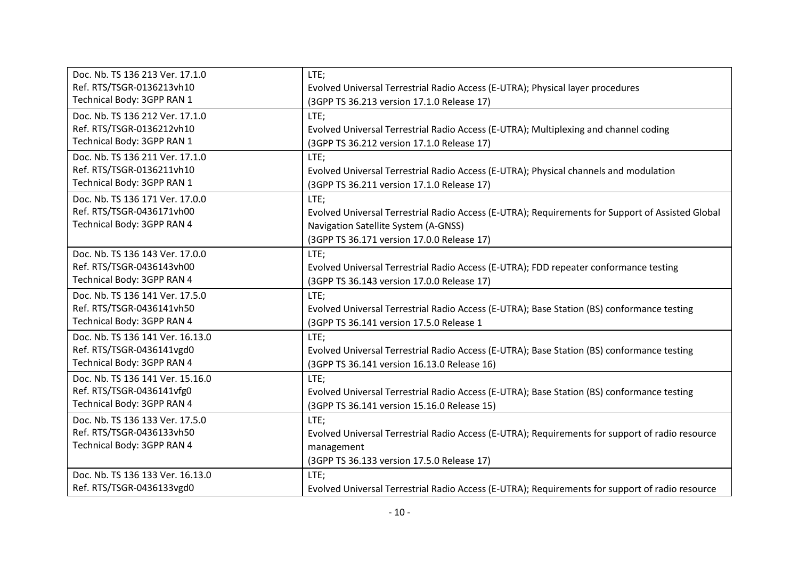| Doc. Nb. TS 136 213 Ver. 17.1.0  | LTE;                                                                                             |
|----------------------------------|--------------------------------------------------------------------------------------------------|
| Ref. RTS/TSGR-0136213vh10        | Evolved Universal Terrestrial Radio Access (E-UTRA); Physical layer procedures                   |
| Technical Body: 3GPP RAN 1       | (3GPP TS 36.213 version 17.1.0 Release 17)                                                       |
| Doc. Nb. TS 136 212 Ver. 17.1.0  | LTE;                                                                                             |
| Ref. RTS/TSGR-0136212vh10        | Evolved Universal Terrestrial Radio Access (E-UTRA); Multiplexing and channel coding             |
| Technical Body: 3GPP RAN 1       | (3GPP TS 36.212 version 17.1.0 Release 17)                                                       |
| Doc. Nb. TS 136 211 Ver. 17.1.0  | LTE;                                                                                             |
| Ref. RTS/TSGR-0136211vh10        | Evolved Universal Terrestrial Radio Access (E-UTRA); Physical channels and modulation            |
| Technical Body: 3GPP RAN 1       | (3GPP TS 36.211 version 17.1.0 Release 17)                                                       |
| Doc. Nb. TS 136 171 Ver. 17.0.0  | LTE;                                                                                             |
| Ref. RTS/TSGR-0436171vh00        | Evolved Universal Terrestrial Radio Access (E-UTRA); Requirements for Support of Assisted Global |
| Technical Body: 3GPP RAN 4       | Navigation Satellite System (A-GNSS)                                                             |
|                                  | (3GPP TS 36.171 version 17.0.0 Release 17)                                                       |
| Doc. Nb. TS 136 143 Ver. 17.0.0  | LTE;                                                                                             |
| Ref. RTS/TSGR-0436143vh00        | Evolved Universal Terrestrial Radio Access (E-UTRA); FDD repeater conformance testing            |
| Technical Body: 3GPP RAN 4       | (3GPP TS 36.143 version 17.0.0 Release 17)                                                       |
| Doc. Nb. TS 136 141 Ver. 17.5.0  | LTE;                                                                                             |
| Ref. RTS/TSGR-0436141vh50        | Evolved Universal Terrestrial Radio Access (E-UTRA); Base Station (BS) conformance testing       |
| Technical Body: 3GPP RAN 4       | (3GPP TS 36.141 version 17.5.0 Release 1                                                         |
| Doc. Nb. TS 136 141 Ver. 16.13.0 | LTE;                                                                                             |
| Ref. RTS/TSGR-0436141vgd0        | Evolved Universal Terrestrial Radio Access (E-UTRA); Base Station (BS) conformance testing       |
| Technical Body: 3GPP RAN 4       | (3GPP TS 36.141 version 16.13.0 Release 16)                                                      |
| Doc. Nb. TS 136 141 Ver. 15.16.0 | LTE;                                                                                             |
| Ref. RTS/TSGR-0436141vfg0        | Evolved Universal Terrestrial Radio Access (E-UTRA); Base Station (BS) conformance testing       |
| Technical Body: 3GPP RAN 4       | (3GPP TS 36.141 version 15.16.0 Release 15)                                                      |
| Doc. Nb. TS 136 133 Ver. 17.5.0  | LTE;                                                                                             |
| Ref. RTS/TSGR-0436133vh50        | Evolved Universal Terrestrial Radio Access (E-UTRA); Requirements for support of radio resource  |
| Technical Body: 3GPP RAN 4       | management                                                                                       |
|                                  | (3GPP TS 36.133 version 17.5.0 Release 17)                                                       |
| Doc. Nb. TS 136 133 Ver. 16.13.0 | LTE;                                                                                             |
| Ref. RTS/TSGR-0436133vgd0        | Evolved Universal Terrestrial Radio Access (E-UTRA); Requirements for support of radio resource  |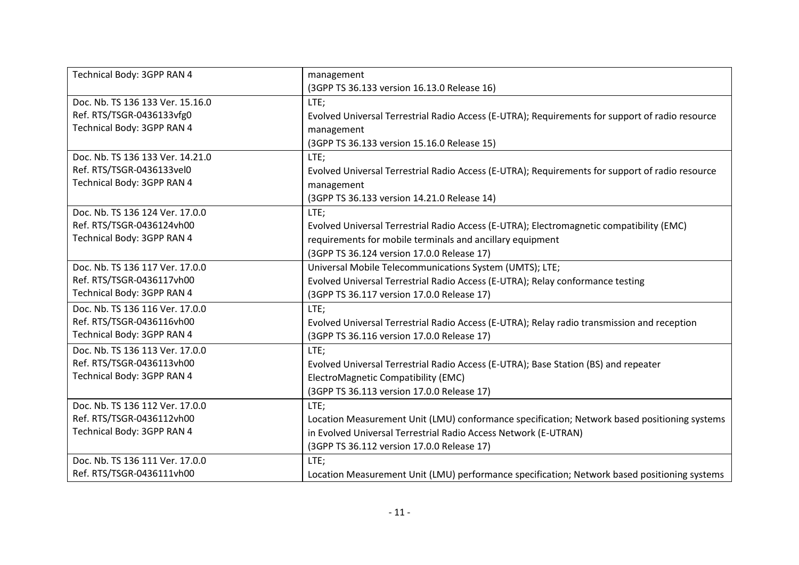| Technical Body: 3GPP RAN 4       | management                                                                                      |
|----------------------------------|-------------------------------------------------------------------------------------------------|
|                                  | (3GPP TS 36.133 version 16.13.0 Release 16)                                                     |
| Doc. Nb. TS 136 133 Ver. 15.16.0 | LTE;                                                                                            |
| Ref. RTS/TSGR-0436133vfg0        | Evolved Universal Terrestrial Radio Access (E-UTRA); Requirements for support of radio resource |
| Technical Body: 3GPP RAN 4       | management                                                                                      |
|                                  | (3GPP TS 36.133 version 15.16.0 Release 15)                                                     |
| Doc. Nb. TS 136 133 Ver. 14.21.0 | LTE;                                                                                            |
| Ref. RTS/TSGR-0436133vel0        | Evolved Universal Terrestrial Radio Access (E-UTRA); Requirements for support of radio resource |
| Technical Body: 3GPP RAN 4       | management                                                                                      |
|                                  | (3GPP TS 36.133 version 14.21.0 Release 14)                                                     |
| Doc. Nb. TS 136 124 Ver. 17.0.0  | LTE;                                                                                            |
| Ref. RTS/TSGR-0436124vh00        | Evolved Universal Terrestrial Radio Access (E-UTRA); Electromagnetic compatibility (EMC)        |
| Technical Body: 3GPP RAN 4       | requirements for mobile terminals and ancillary equipment                                       |
|                                  | (3GPP TS 36.124 version 17.0.0 Release 17)                                                      |
| Doc. Nb. TS 136 117 Ver. 17.0.0  | Universal Mobile Telecommunications System (UMTS); LTE;                                         |
| Ref. RTS/TSGR-0436117vh00        | Evolved Universal Terrestrial Radio Access (E-UTRA); Relay conformance testing                  |
| Technical Body: 3GPP RAN 4       | (3GPP TS 36.117 version 17.0.0 Release 17)                                                      |
| Doc. Nb. TS 136 116 Ver. 17.0.0  | LTE;                                                                                            |
| Ref. RTS/TSGR-0436116vh00        | Evolved Universal Terrestrial Radio Access (E-UTRA); Relay radio transmission and reception     |
| Technical Body: 3GPP RAN 4       | (3GPP TS 36.116 version 17.0.0 Release 17)                                                      |
| Doc. Nb. TS 136 113 Ver. 17.0.0  | LTE;                                                                                            |
| Ref. RTS/TSGR-0436113vh00        | Evolved Universal Terrestrial Radio Access (E-UTRA); Base Station (BS) and repeater             |
| Technical Body: 3GPP RAN 4       | ElectroMagnetic Compatibility (EMC)                                                             |
|                                  | (3GPP TS 36.113 version 17.0.0 Release 17)                                                      |
| Doc. Nb. TS 136 112 Ver. 17.0.0  | LTE;                                                                                            |
| Ref. RTS/TSGR-0436112vh00        | Location Measurement Unit (LMU) conformance specification; Network based positioning systems    |
| Technical Body: 3GPP RAN 4       | in Evolved Universal Terrestrial Radio Access Network (E-UTRAN)                                 |
|                                  | (3GPP TS 36.112 version 17.0.0 Release 17)                                                      |
| Doc. Nb. TS 136 111 Ver. 17.0.0  | LTE;                                                                                            |
| Ref. RTS/TSGR-0436111vh00        | Location Measurement Unit (LMU) performance specification; Network based positioning systems    |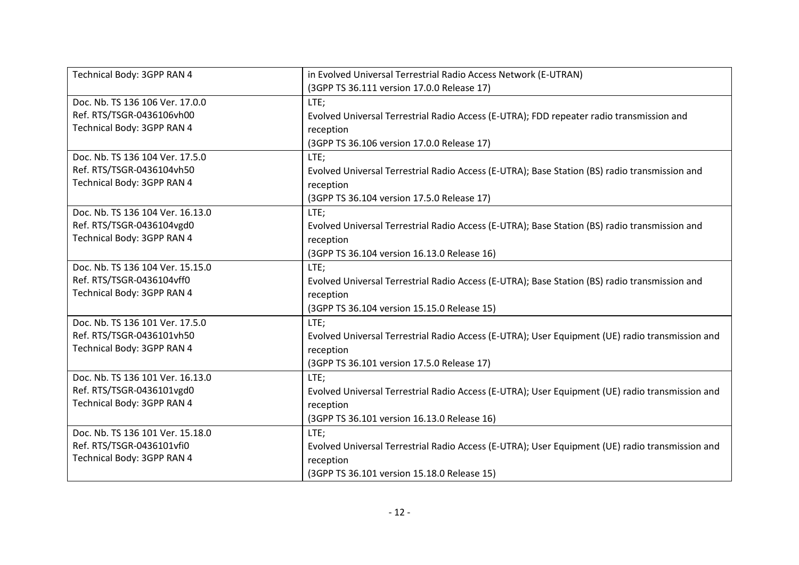| Technical Body: 3GPP RAN 4       | in Evolved Universal Terrestrial Radio Access Network (E-UTRAN)                                 |
|----------------------------------|-------------------------------------------------------------------------------------------------|
|                                  | (3GPP TS 36.111 version 17.0.0 Release 17)                                                      |
| Doc. Nb. TS 136 106 Ver. 17.0.0  | LTE;                                                                                            |
| Ref. RTS/TSGR-0436106vh00        | Evolved Universal Terrestrial Radio Access (E-UTRA); FDD repeater radio transmission and        |
| Technical Body: 3GPP RAN 4       | reception                                                                                       |
|                                  | (3GPP TS 36.106 version 17.0.0 Release 17)                                                      |
| Doc. Nb. TS 136 104 Ver. 17.5.0  | LTE;                                                                                            |
| Ref. RTS/TSGR-0436104vh50        | Evolved Universal Terrestrial Radio Access (E-UTRA); Base Station (BS) radio transmission and   |
| Technical Body: 3GPP RAN 4       | reception                                                                                       |
|                                  | (3GPP TS 36.104 version 17.5.0 Release 17)                                                      |
| Doc. Nb. TS 136 104 Ver. 16.13.0 | LTE;                                                                                            |
| Ref. RTS/TSGR-0436104vgd0        | Evolved Universal Terrestrial Radio Access (E-UTRA); Base Station (BS) radio transmission and   |
| Technical Body: 3GPP RAN 4       | reception                                                                                       |
|                                  | (3GPP TS 36.104 version 16.13.0 Release 16)                                                     |
| Doc. Nb. TS 136 104 Ver. 15.15.0 | LTE;                                                                                            |
| Ref. RTS/TSGR-0436104vff0        | Evolved Universal Terrestrial Radio Access (E-UTRA); Base Station (BS) radio transmission and   |
| Technical Body: 3GPP RAN 4       | reception                                                                                       |
|                                  | (3GPP TS 36.104 version 15.15.0 Release 15)                                                     |
| Doc. Nb. TS 136 101 Ver. 17.5.0  | LTE;                                                                                            |
| Ref. RTS/TSGR-0436101vh50        | Evolved Universal Terrestrial Radio Access (E-UTRA); User Equipment (UE) radio transmission and |
| Technical Body: 3GPP RAN 4       | reception                                                                                       |
|                                  | (3GPP TS 36.101 version 17.5.0 Release 17)                                                      |
| Doc. Nb. TS 136 101 Ver. 16.13.0 | LTE;                                                                                            |
| Ref. RTS/TSGR-0436101vgd0        | Evolved Universal Terrestrial Radio Access (E-UTRA); User Equipment (UE) radio transmission and |
| Technical Body: 3GPP RAN 4       | reception                                                                                       |
|                                  | (3GPP TS 36.101 version 16.13.0 Release 16)                                                     |
| Doc. Nb. TS 136 101 Ver. 15.18.0 | LTE;                                                                                            |
| Ref. RTS/TSGR-0436101vfi0        | Evolved Universal Terrestrial Radio Access (E-UTRA); User Equipment (UE) radio transmission and |
| Technical Body: 3GPP RAN 4       | reception                                                                                       |
|                                  | (3GPP TS 36.101 version 15.18.0 Release 15)                                                     |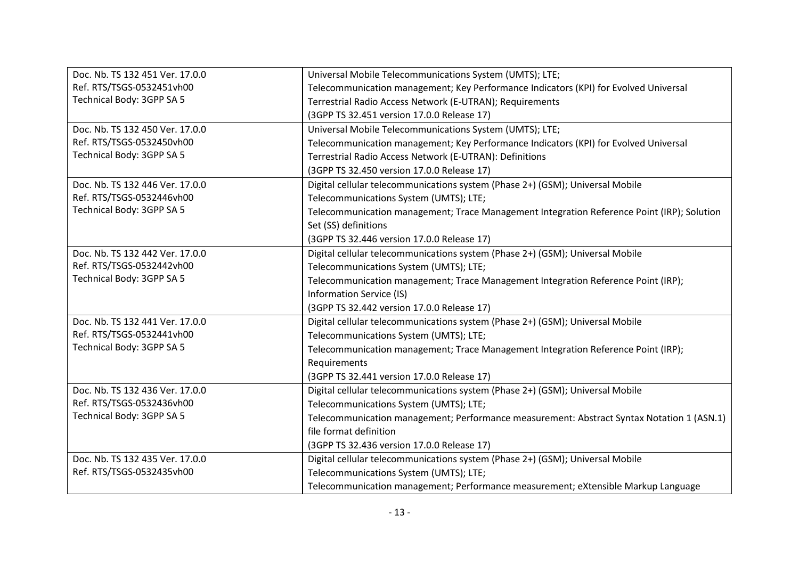| Doc. Nb. TS 132 451 Ver. 17.0.0 | Universal Mobile Telecommunications System (UMTS); LTE;                                    |
|---------------------------------|--------------------------------------------------------------------------------------------|
| Ref. RTS/TSGS-0532451vh00       | Telecommunication management; Key Performance Indicators (KPI) for Evolved Universal       |
| Technical Body: 3GPP SA 5       | Terrestrial Radio Access Network (E-UTRAN); Requirements                                   |
|                                 | (3GPP TS 32.451 version 17.0.0 Release 17)                                                 |
| Doc. Nb. TS 132 450 Ver. 17.0.0 | Universal Mobile Telecommunications System (UMTS); LTE;                                    |
| Ref. RTS/TSGS-0532450vh00       | Telecommunication management; Key Performance Indicators (KPI) for Evolved Universal       |
| Technical Body: 3GPP SA 5       | Terrestrial Radio Access Network (E-UTRAN): Definitions                                    |
|                                 | (3GPP TS 32.450 version 17.0.0 Release 17)                                                 |
| Doc. Nb. TS 132 446 Ver. 17.0.0 | Digital cellular telecommunications system (Phase 2+) (GSM); Universal Mobile              |
| Ref. RTS/TSGS-0532446vh00       | Telecommunications System (UMTS); LTE;                                                     |
| Technical Body: 3GPP SA 5       | Telecommunication management; Trace Management Integration Reference Point (IRP); Solution |
|                                 | Set (SS) definitions                                                                       |
|                                 | (3GPP TS 32.446 version 17.0.0 Release 17)                                                 |
| Doc. Nb. TS 132 442 Ver. 17.0.0 | Digital cellular telecommunications system (Phase 2+) (GSM); Universal Mobile              |
| Ref. RTS/TSGS-0532442vh00       | Telecommunications System (UMTS); LTE;                                                     |
| Technical Body: 3GPP SA 5       | Telecommunication management; Trace Management Integration Reference Point (IRP);          |
|                                 | Information Service (IS)                                                                   |
|                                 | (3GPP TS 32.442 version 17.0.0 Release 17)                                                 |
| Doc. Nb. TS 132 441 Ver. 17.0.0 | Digital cellular telecommunications system (Phase 2+) (GSM); Universal Mobile              |
| Ref. RTS/TSGS-0532441vh00       | Telecommunications System (UMTS); LTE;                                                     |
| Technical Body: 3GPP SA 5       | Telecommunication management; Trace Management Integration Reference Point (IRP);          |
|                                 | Requirements                                                                               |
|                                 | (3GPP TS 32.441 version 17.0.0 Release 17)                                                 |
| Doc. Nb. TS 132 436 Ver. 17.0.0 | Digital cellular telecommunications system (Phase 2+) (GSM); Universal Mobile              |
| Ref. RTS/TSGS-0532436vh00       | Telecommunications System (UMTS); LTE;                                                     |
| Technical Body: 3GPP SA 5       | Telecommunication management; Performance measurement: Abstract Syntax Notation 1 (ASN.1)  |
|                                 | file format definition                                                                     |
|                                 | (3GPP TS 32.436 version 17.0.0 Release 17)                                                 |
| Doc. Nb. TS 132 435 Ver. 17.0.0 | Digital cellular telecommunications system (Phase 2+) (GSM); Universal Mobile              |
| Ref. RTS/TSGS-0532435vh00       | Telecommunications System (UMTS); LTE;                                                     |
|                                 | Telecommunication management; Performance measurement; eXtensible Markup Language          |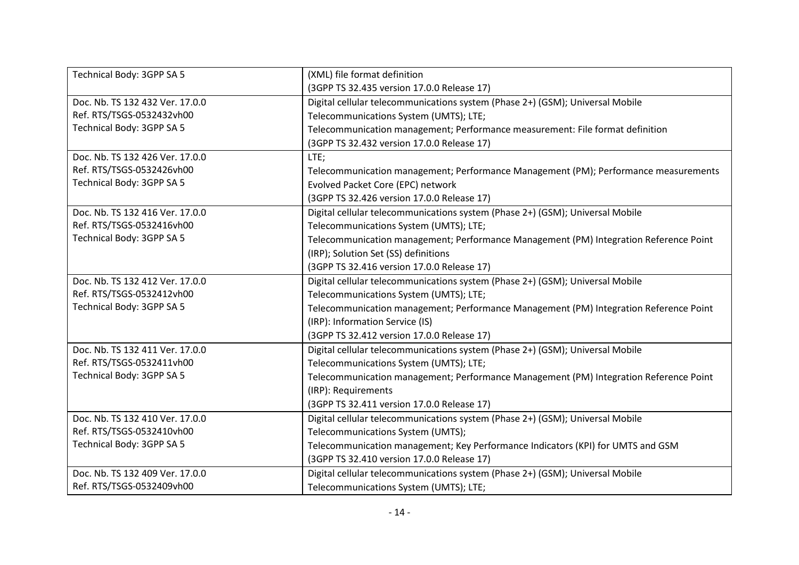| Technical Body: 3GPP SA 5       | (XML) file format definition                                                          |
|---------------------------------|---------------------------------------------------------------------------------------|
|                                 | (3GPP TS 32.435 version 17.0.0 Release 17)                                            |
| Doc. Nb. TS 132 432 Ver. 17.0.0 | Digital cellular telecommunications system (Phase 2+) (GSM); Universal Mobile         |
| Ref. RTS/TSGS-0532432vh00       | Telecommunications System (UMTS); LTE;                                                |
| Technical Body: 3GPP SA 5       | Telecommunication management; Performance measurement: File format definition         |
|                                 | (3GPP TS 32.432 version 17.0.0 Release 17)                                            |
| Doc. Nb. TS 132 426 Ver. 17.0.0 | LTE;                                                                                  |
| Ref. RTS/TSGS-0532426vh00       | Telecommunication management; Performance Management (PM); Performance measurements   |
| Technical Body: 3GPP SA 5       | Evolved Packet Core (EPC) network                                                     |
|                                 | (3GPP TS 32.426 version 17.0.0 Release 17)                                            |
| Doc. Nb. TS 132 416 Ver. 17.0.0 | Digital cellular telecommunications system (Phase 2+) (GSM); Universal Mobile         |
| Ref. RTS/TSGS-0532416vh00       | Telecommunications System (UMTS); LTE;                                                |
| Technical Body: 3GPP SA 5       | Telecommunication management; Performance Management (PM) Integration Reference Point |
|                                 | (IRP); Solution Set (SS) definitions                                                  |
|                                 | (3GPP TS 32.416 version 17.0.0 Release 17)                                            |
| Doc. Nb. TS 132 412 Ver. 17.0.0 | Digital cellular telecommunications system (Phase 2+) (GSM); Universal Mobile         |
| Ref. RTS/TSGS-0532412vh00       | Telecommunications System (UMTS); LTE;                                                |
| Technical Body: 3GPP SA 5       | Telecommunication management; Performance Management (PM) Integration Reference Point |
|                                 | (IRP): Information Service (IS)                                                       |
|                                 | (3GPP TS 32.412 version 17.0.0 Release 17)                                            |
| Doc. Nb. TS 132 411 Ver. 17.0.0 | Digital cellular telecommunications system (Phase 2+) (GSM); Universal Mobile         |
| Ref. RTS/TSGS-0532411vh00       | Telecommunications System (UMTS); LTE;                                                |
| Technical Body: 3GPP SA 5       | Telecommunication management; Performance Management (PM) Integration Reference Point |
|                                 | (IRP): Requirements                                                                   |
|                                 | (3GPP TS 32.411 version 17.0.0 Release 17)                                            |
| Doc. Nb. TS 132 410 Ver. 17.0.0 | Digital cellular telecommunications system (Phase 2+) (GSM); Universal Mobile         |
| Ref. RTS/TSGS-0532410vh00       | Telecommunications System (UMTS);                                                     |
| Technical Body: 3GPP SA 5       | Telecommunication management; Key Performance Indicators (KPI) for UMTS and GSM       |
|                                 | (3GPP TS 32.410 version 17.0.0 Release 17)                                            |
| Doc. Nb. TS 132 409 Ver. 17.0.0 | Digital cellular telecommunications system (Phase 2+) (GSM); Universal Mobile         |
| Ref. RTS/TSGS-0532409vh00       | Telecommunications System (UMTS); LTE;                                                |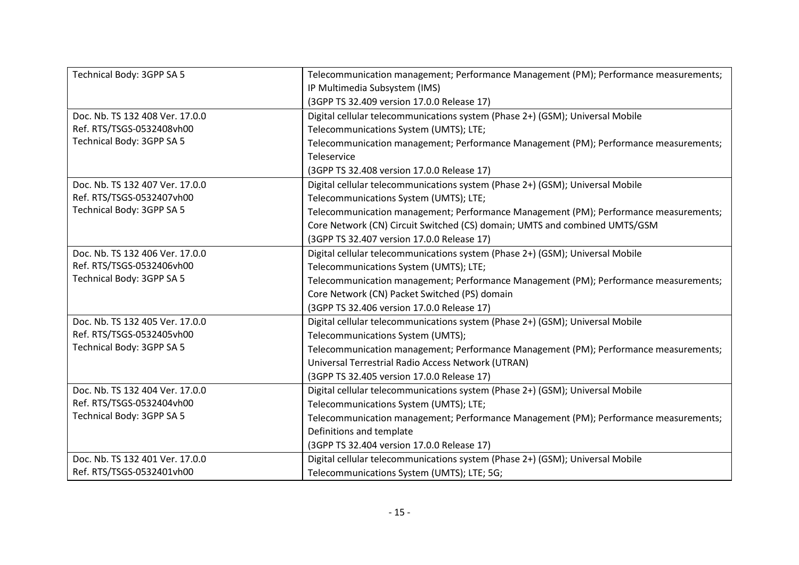| Technical Body: 3GPP SA 5       | Telecommunication management; Performance Management (PM); Performance measurements; |
|---------------------------------|--------------------------------------------------------------------------------------|
|                                 | IP Multimedia Subsystem (IMS)                                                        |
|                                 | (3GPP TS 32.409 version 17.0.0 Release 17)                                           |
| Doc. Nb. TS 132 408 Ver. 17.0.0 | Digital cellular telecommunications system (Phase 2+) (GSM); Universal Mobile        |
| Ref. RTS/TSGS-0532408vh00       | Telecommunications System (UMTS); LTE;                                               |
| Technical Body: 3GPP SA 5       | Telecommunication management; Performance Management (PM); Performance measurements; |
|                                 | Teleservice                                                                          |
|                                 | (3GPP TS 32.408 version 17.0.0 Release 17)                                           |
| Doc. Nb. TS 132 407 Ver. 17.0.0 | Digital cellular telecommunications system (Phase 2+) (GSM); Universal Mobile        |
| Ref. RTS/TSGS-0532407vh00       | Telecommunications System (UMTS); LTE;                                               |
| Technical Body: 3GPP SA 5       | Telecommunication management; Performance Management (PM); Performance measurements; |
|                                 | Core Network (CN) Circuit Switched (CS) domain; UMTS and combined UMTS/GSM           |
|                                 | (3GPP TS 32.407 version 17.0.0 Release 17)                                           |
| Doc. Nb. TS 132 406 Ver. 17.0.0 | Digital cellular telecommunications system (Phase 2+) (GSM); Universal Mobile        |
| Ref. RTS/TSGS-0532406vh00       | Telecommunications System (UMTS); LTE;                                               |
| Technical Body: 3GPP SA 5       | Telecommunication management; Performance Management (PM); Performance measurements; |
|                                 | Core Network (CN) Packet Switched (PS) domain                                        |
|                                 | (3GPP TS 32.406 version 17.0.0 Release 17)                                           |
| Doc. Nb. TS 132 405 Ver. 17.0.0 | Digital cellular telecommunications system (Phase 2+) (GSM); Universal Mobile        |
| Ref. RTS/TSGS-0532405vh00       | Telecommunications System (UMTS);                                                    |
| Technical Body: 3GPP SA 5       | Telecommunication management; Performance Management (PM); Performance measurements; |
|                                 | Universal Terrestrial Radio Access Network (UTRAN)                                   |
|                                 | (3GPP TS 32.405 version 17.0.0 Release 17)                                           |
| Doc. Nb. TS 132 404 Ver. 17.0.0 | Digital cellular telecommunications system (Phase 2+) (GSM); Universal Mobile        |
| Ref. RTS/TSGS-0532404vh00       | Telecommunications System (UMTS); LTE;                                               |
| Technical Body: 3GPP SA 5       | Telecommunication management; Performance Management (PM); Performance measurements; |
|                                 | Definitions and template                                                             |
|                                 | (3GPP TS 32.404 version 17.0.0 Release 17)                                           |
| Doc. Nb. TS 132 401 Ver. 17.0.0 | Digital cellular telecommunications system (Phase 2+) (GSM); Universal Mobile        |
| Ref. RTS/TSGS-0532401vh00       | Telecommunications System (UMTS); LTE; 5G;                                           |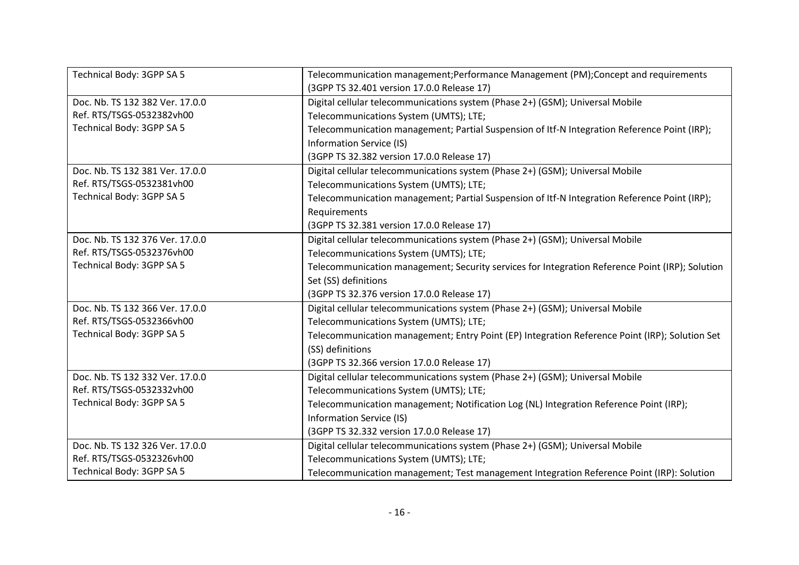| Technical Body: 3GPP SA 5       | Telecommunication management; Performance Management (PM); Concept and requirements             |
|---------------------------------|-------------------------------------------------------------------------------------------------|
|                                 | (3GPP TS 32.401 version 17.0.0 Release 17)                                                      |
| Doc. Nb. TS 132 382 Ver. 17.0.0 | Digital cellular telecommunications system (Phase 2+) (GSM); Universal Mobile                   |
| Ref. RTS/TSGS-0532382vh00       | Telecommunications System (UMTS); LTE;                                                          |
| Technical Body: 3GPP SA 5       | Telecommunication management; Partial Suspension of Itf-N Integration Reference Point (IRP);    |
|                                 | Information Service (IS)                                                                        |
|                                 | (3GPP TS 32.382 version 17.0.0 Release 17)                                                      |
| Doc. Nb. TS 132 381 Ver. 17.0.0 | Digital cellular telecommunications system (Phase 2+) (GSM); Universal Mobile                   |
| Ref. RTS/TSGS-0532381vh00       | Telecommunications System (UMTS); LTE;                                                          |
| Technical Body: 3GPP SA 5       | Telecommunication management; Partial Suspension of Itf-N Integration Reference Point (IRP);    |
|                                 | Requirements                                                                                    |
|                                 | (3GPP TS 32.381 version 17.0.0 Release 17)                                                      |
| Doc. Nb. TS 132 376 Ver. 17.0.0 | Digital cellular telecommunications system (Phase 2+) (GSM); Universal Mobile                   |
| Ref. RTS/TSGS-0532376vh00       | Telecommunications System (UMTS); LTE;                                                          |
| Technical Body: 3GPP SA 5       | Telecommunication management; Security services for Integration Reference Point (IRP); Solution |
|                                 | Set (SS) definitions                                                                            |
|                                 | (3GPP TS 32.376 version 17.0.0 Release 17)                                                      |
| Doc. Nb. TS 132 366 Ver. 17.0.0 | Digital cellular telecommunications system (Phase 2+) (GSM); Universal Mobile                   |
| Ref. RTS/TSGS-0532366vh00       | Telecommunications System (UMTS); LTE;                                                          |
| Technical Body: 3GPP SA 5       | Telecommunication management; Entry Point (EP) Integration Reference Point (IRP); Solution Set  |
|                                 | (SS) definitions                                                                                |
|                                 | (3GPP TS 32.366 version 17.0.0 Release 17)                                                      |
| Doc. Nb. TS 132 332 Ver. 17.0.0 | Digital cellular telecommunications system (Phase 2+) (GSM); Universal Mobile                   |
| Ref. RTS/TSGS-0532332vh00       | Telecommunications System (UMTS); LTE;                                                          |
| Technical Body: 3GPP SA 5       | Telecommunication management; Notification Log (NL) Integration Reference Point (IRP);          |
|                                 | <b>Information Service (IS)</b>                                                                 |
|                                 | (3GPP TS 32.332 version 17.0.0 Release 17)                                                      |
| Doc. Nb. TS 132 326 Ver. 17.0.0 | Digital cellular telecommunications system (Phase 2+) (GSM); Universal Mobile                   |
| Ref. RTS/TSGS-0532326vh00       | Telecommunications System (UMTS); LTE;                                                          |
| Technical Body: 3GPP SA 5       | Telecommunication management; Test management Integration Reference Point (IRP): Solution       |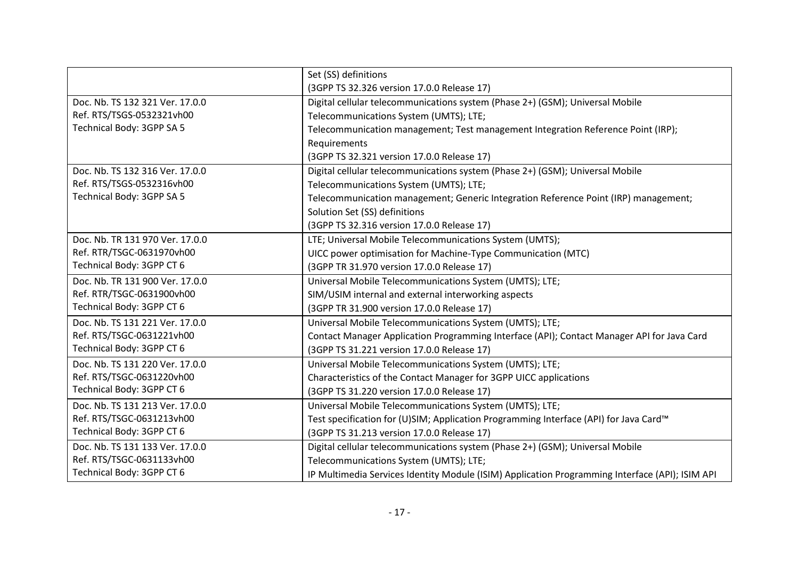|                                 | Set (SS) definitions                                                                            |
|---------------------------------|-------------------------------------------------------------------------------------------------|
|                                 | (3GPP TS 32.326 version 17.0.0 Release 17)                                                      |
| Doc. Nb. TS 132 321 Ver. 17.0.0 | Digital cellular telecommunications system (Phase 2+) (GSM); Universal Mobile                   |
| Ref. RTS/TSGS-0532321vh00       | Telecommunications System (UMTS); LTE;                                                          |
| Technical Body: 3GPP SA 5       | Telecommunication management; Test management Integration Reference Point (IRP);                |
|                                 | Requirements                                                                                    |
|                                 | (3GPP TS 32.321 version 17.0.0 Release 17)                                                      |
| Doc. Nb. TS 132 316 Ver. 17.0.0 | Digital cellular telecommunications system (Phase 2+) (GSM); Universal Mobile                   |
| Ref. RTS/TSGS-0532316vh00       | Telecommunications System (UMTS); LTE;                                                          |
| Technical Body: 3GPP SA 5       | Telecommunication management; Generic Integration Reference Point (IRP) management;             |
|                                 | Solution Set (SS) definitions                                                                   |
|                                 | (3GPP TS 32.316 version 17.0.0 Release 17)                                                      |
| Doc. Nb. TR 131 970 Ver. 17.0.0 | LTE; Universal Mobile Telecommunications System (UMTS);                                         |
| Ref. RTR/TSGC-0631970vh00       | UICC power optimisation for Machine-Type Communication (MTC)                                    |
| Technical Body: 3GPP CT 6       | (3GPP TR 31.970 version 17.0.0 Release 17)                                                      |
| Doc. Nb. TR 131 900 Ver. 17.0.0 | Universal Mobile Telecommunications System (UMTS); LTE;                                         |
| Ref. RTR/TSGC-0631900vh00       | SIM/USIM internal and external interworking aspects                                             |
| Technical Body: 3GPP CT 6       | (3GPP TR 31.900 version 17.0.0 Release 17)                                                      |
| Doc. Nb. TS 131 221 Ver. 17.0.0 | Universal Mobile Telecommunications System (UMTS); LTE;                                         |
| Ref. RTS/TSGC-0631221vh00       | Contact Manager Application Programming Interface (API); Contact Manager API for Java Card      |
| Technical Body: 3GPP CT 6       | (3GPP TS 31.221 version 17.0.0 Release 17)                                                      |
| Doc. Nb. TS 131 220 Ver. 17.0.0 | Universal Mobile Telecommunications System (UMTS); LTE;                                         |
| Ref. RTS/TSGC-0631220vh00       | Characteristics of the Contact Manager for 3GPP UICC applications                               |
| Technical Body: 3GPP CT 6       | (3GPP TS 31.220 version 17.0.0 Release 17)                                                      |
| Doc. Nb. TS 131 213 Ver. 17.0.0 | Universal Mobile Telecommunications System (UMTS); LTE;                                         |
| Ref. RTS/TSGC-0631213vh00       | Test specification for (U)SIM; Application Programming Interface (API) for Java Card™           |
| Technical Body: 3GPP CT 6       | (3GPP TS 31.213 version 17.0.0 Release 17)                                                      |
| Doc. Nb. TS 131 133 Ver. 17.0.0 | Digital cellular telecommunications system (Phase 2+) (GSM); Universal Mobile                   |
| Ref. RTS/TSGC-0631133vh00       | Telecommunications System (UMTS); LTE;                                                          |
| Technical Body: 3GPP CT 6       | IP Multimedia Services Identity Module (ISIM) Application Programming Interface (API); ISIM API |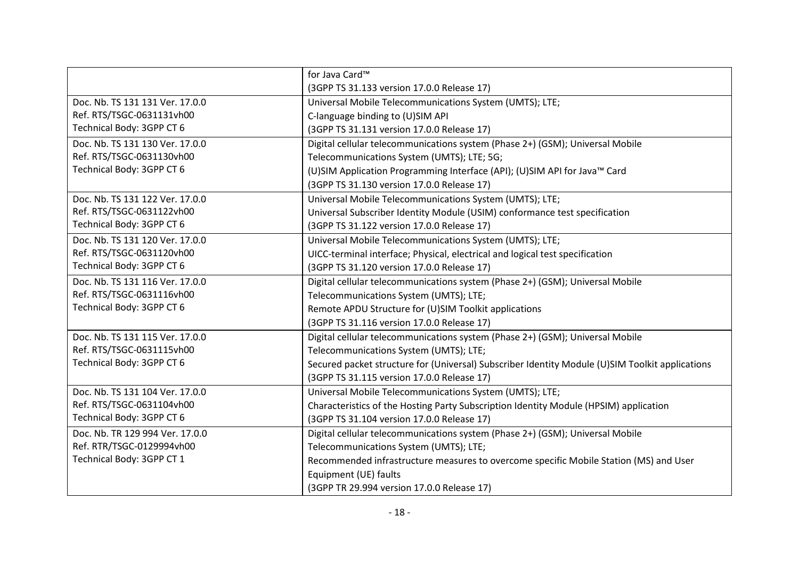|                                 | for Java Card™                                                                                  |
|---------------------------------|-------------------------------------------------------------------------------------------------|
|                                 |                                                                                                 |
|                                 | (3GPP TS 31.133 version 17.0.0 Release 17)                                                      |
| Doc. Nb. TS 131 131 Ver. 17.0.0 | Universal Mobile Telecommunications System (UMTS); LTE;                                         |
| Ref. RTS/TSGC-0631131vh00       | C-language binding to (U)SIM API                                                                |
| Technical Body: 3GPP CT 6       | (3GPP TS 31.131 version 17.0.0 Release 17)                                                      |
| Doc. Nb. TS 131 130 Ver. 17.0.0 | Digital cellular telecommunications system (Phase 2+) (GSM); Universal Mobile                   |
| Ref. RTS/TSGC-0631130vh00       | Telecommunications System (UMTS); LTE; 5G;                                                      |
| Technical Body: 3GPP CT 6       | (U)SIM Application Programming Interface (API); (U)SIM API for Java™ Card                       |
|                                 | (3GPP TS 31.130 version 17.0.0 Release 17)                                                      |
| Doc. Nb. TS 131 122 Ver. 17.0.0 | Universal Mobile Telecommunications System (UMTS); LTE;                                         |
| Ref. RTS/TSGC-0631122vh00       | Universal Subscriber Identity Module (USIM) conformance test specification                      |
| Technical Body: 3GPP CT 6       | (3GPP TS 31.122 version 17.0.0 Release 17)                                                      |
| Doc. Nb. TS 131 120 Ver. 17.0.0 | Universal Mobile Telecommunications System (UMTS); LTE;                                         |
| Ref. RTS/TSGC-0631120vh00       | UICC-terminal interface; Physical, electrical and logical test specification                    |
| Technical Body: 3GPP CT 6       | (3GPP TS 31.120 version 17.0.0 Release 17)                                                      |
| Doc. Nb. TS 131 116 Ver. 17.0.0 | Digital cellular telecommunications system (Phase 2+) (GSM); Universal Mobile                   |
| Ref. RTS/TSGC-0631116vh00       | Telecommunications System (UMTS); LTE;                                                          |
| Technical Body: 3GPP CT 6       | Remote APDU Structure for (U)SIM Toolkit applications                                           |
|                                 | (3GPP TS 31.116 version 17.0.0 Release 17)                                                      |
| Doc. Nb. TS 131 115 Ver. 17.0.0 | Digital cellular telecommunications system (Phase 2+) (GSM); Universal Mobile                   |
| Ref. RTS/TSGC-0631115vh00       | Telecommunications System (UMTS); LTE;                                                          |
| Technical Body: 3GPP CT 6       | Secured packet structure for (Universal) Subscriber Identity Module (U)SIM Toolkit applications |
|                                 | (3GPP TS 31.115 version 17.0.0 Release 17)                                                      |
| Doc. Nb. TS 131 104 Ver. 17.0.0 | Universal Mobile Telecommunications System (UMTS); LTE;                                         |
| Ref. RTS/TSGC-0631104vh00       | Characteristics of the Hosting Party Subscription Identity Module (HPSIM) application           |
| Technical Body: 3GPP CT 6       | (3GPP TS 31.104 version 17.0.0 Release 17)                                                      |
| Doc. Nb. TR 129 994 Ver. 17.0.0 | Digital cellular telecommunications system (Phase 2+) (GSM); Universal Mobile                   |
| Ref. RTR/TSGC-0129994vh00       | Telecommunications System (UMTS); LTE;                                                          |
| Technical Body: 3GPP CT 1       | Recommended infrastructure measures to overcome specific Mobile Station (MS) and User           |
|                                 | Equipment (UE) faults                                                                           |
|                                 | (3GPP TR 29.994 version 17.0.0 Release 17)                                                      |
|                                 |                                                                                                 |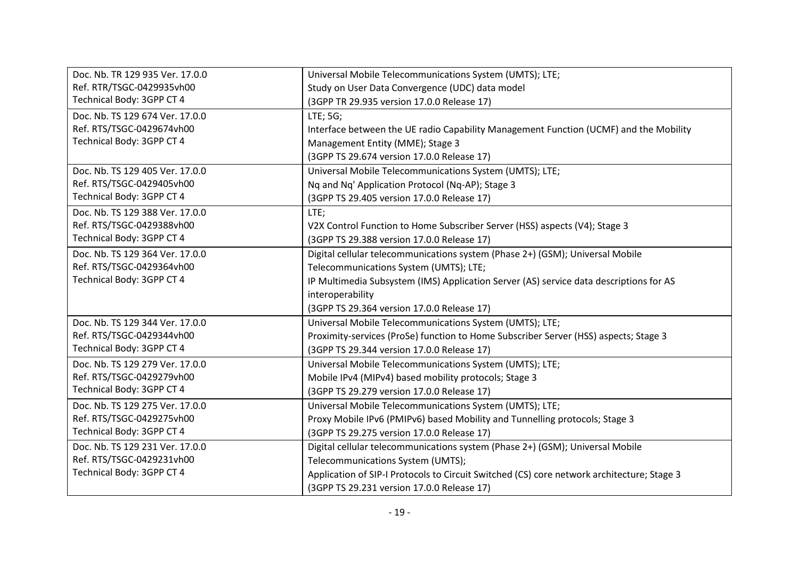| Doc. Nb. TR 129 935 Ver. 17.0.0 | Universal Mobile Telecommunications System (UMTS); LTE;                                    |
|---------------------------------|--------------------------------------------------------------------------------------------|
| Ref. RTR/TSGC-0429935vh00       | Study on User Data Convergence (UDC) data model                                            |
| Technical Body: 3GPP CT 4       | (3GPP TR 29.935 version 17.0.0 Release 17)                                                 |
| Doc. Nb. TS 129 674 Ver. 17.0.0 | LTE; 5G;                                                                                   |
| Ref. RTS/TSGC-0429674vh00       | Interface between the UE radio Capability Management Function (UCMF) and the Mobility      |
| Technical Body: 3GPP CT 4       | Management Entity (MME); Stage 3                                                           |
|                                 | (3GPP TS 29.674 version 17.0.0 Release 17)                                                 |
| Doc. Nb. TS 129 405 Ver. 17.0.0 | Universal Mobile Telecommunications System (UMTS); LTE;                                    |
| Ref. RTS/TSGC-0429405vh00       | Nq and Nq' Application Protocol (Nq-AP); Stage 3                                           |
| Technical Body: 3GPP CT 4       | (3GPP TS 29.405 version 17.0.0 Release 17)                                                 |
| Doc. Nb. TS 129 388 Ver. 17.0.0 | LTE;                                                                                       |
| Ref. RTS/TSGC-0429388vh00       | V2X Control Function to Home Subscriber Server (HSS) aspects (V4); Stage 3                 |
| Technical Body: 3GPP CT 4       | (3GPP TS 29.388 version 17.0.0 Release 17)                                                 |
| Doc. Nb. TS 129 364 Ver. 17.0.0 | Digital cellular telecommunications system (Phase 2+) (GSM); Universal Mobile              |
| Ref. RTS/TSGC-0429364vh00       | Telecommunications System (UMTS); LTE;                                                     |
| Technical Body: 3GPP CT 4       | IP Multimedia Subsystem (IMS) Application Server (AS) service data descriptions for AS     |
|                                 | interoperability                                                                           |
|                                 | (3GPP TS 29.364 version 17.0.0 Release 17)                                                 |
| Doc. Nb. TS 129 344 Ver. 17.0.0 | Universal Mobile Telecommunications System (UMTS); LTE;                                    |
| Ref. RTS/TSGC-0429344vh00       | Proximity-services (ProSe) function to Home Subscriber Server (HSS) aspects; Stage 3       |
| Technical Body: 3GPP CT 4       | (3GPP TS 29.344 version 17.0.0 Release 17)                                                 |
| Doc. Nb. TS 129 279 Ver. 17.0.0 | Universal Mobile Telecommunications System (UMTS); LTE;                                    |
| Ref. RTS/TSGC-0429279vh00       | Mobile IPv4 (MIPv4) based mobility protocols; Stage 3                                      |
| Technical Body: 3GPP CT 4       | (3GPP TS 29.279 version 17.0.0 Release 17)                                                 |
| Doc. Nb. TS 129 275 Ver. 17.0.0 | Universal Mobile Telecommunications System (UMTS); LTE;                                    |
| Ref. RTS/TSGC-0429275vh00       | Proxy Mobile IPv6 (PMIPv6) based Mobility and Tunnelling protocols; Stage 3                |
| Technical Body: 3GPP CT 4       | (3GPP TS 29.275 version 17.0.0 Release 17)                                                 |
| Doc. Nb. TS 129 231 Ver. 17.0.0 | Digital cellular telecommunications system (Phase 2+) (GSM); Universal Mobile              |
| Ref. RTS/TSGC-0429231vh00       | Telecommunications System (UMTS);                                                          |
| Technical Body: 3GPP CT 4       | Application of SIP-I Protocols to Circuit Switched (CS) core network architecture; Stage 3 |
|                                 | (3GPP TS 29.231 version 17.0.0 Release 17)                                                 |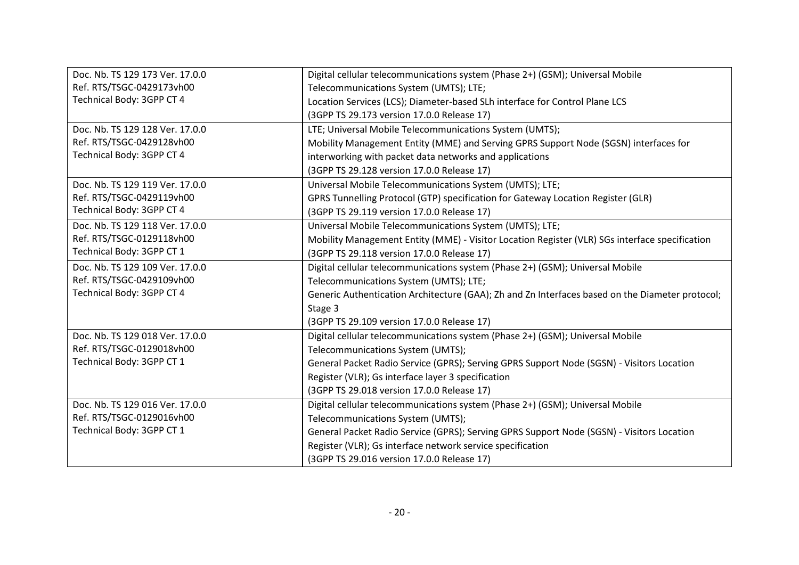| Doc. Nb. TS 129 173 Ver. 17.0.0 | Digital cellular telecommunications system (Phase 2+) (GSM); Universal Mobile                   |
|---------------------------------|-------------------------------------------------------------------------------------------------|
| Ref. RTS/TSGC-0429173vh00       | Telecommunications System (UMTS); LTE;                                                          |
| Technical Body: 3GPP CT 4       | Location Services (LCS); Diameter-based SLh interface for Control Plane LCS                     |
|                                 | (3GPP TS 29.173 version 17.0.0 Release 17)                                                      |
| Doc. Nb. TS 129 128 Ver. 17.0.0 | LTE; Universal Mobile Telecommunications System (UMTS);                                         |
| Ref. RTS/TSGC-0429128vh00       | Mobility Management Entity (MME) and Serving GPRS Support Node (SGSN) interfaces for            |
| Technical Body: 3GPP CT 4       | interworking with packet data networks and applications                                         |
|                                 | (3GPP TS 29.128 version 17.0.0 Release 17)                                                      |
| Doc. Nb. TS 129 119 Ver. 17.0.0 | Universal Mobile Telecommunications System (UMTS); LTE;                                         |
| Ref. RTS/TSGC-0429119vh00       | GPRS Tunnelling Protocol (GTP) specification for Gateway Location Register (GLR)                |
| Technical Body: 3GPP CT 4       | (3GPP TS 29.119 version 17.0.0 Release 17)                                                      |
| Doc. Nb. TS 129 118 Ver. 17.0.0 | Universal Mobile Telecommunications System (UMTS); LTE;                                         |
| Ref. RTS/TSGC-0129118vh00       | Mobility Management Entity (MME) - Visitor Location Register (VLR) SGs interface specification  |
| Technical Body: 3GPP CT 1       | (3GPP TS 29.118 version 17.0.0 Release 17)                                                      |
| Doc. Nb. TS 129 109 Ver. 17.0.0 | Digital cellular telecommunications system (Phase 2+) (GSM); Universal Mobile                   |
| Ref. RTS/TSGC-0429109vh00       | Telecommunications System (UMTS); LTE;                                                          |
| Technical Body: 3GPP CT 4       | Generic Authentication Architecture (GAA); Zh and Zn Interfaces based on the Diameter protocol; |
|                                 | Stage 3                                                                                         |
|                                 | (3GPP TS 29.109 version 17.0.0 Release 17)                                                      |
| Doc. Nb. TS 129 018 Ver. 17.0.0 | Digital cellular telecommunications system (Phase 2+) (GSM); Universal Mobile                   |
| Ref. RTS/TSGC-0129018vh00       | Telecommunications System (UMTS);                                                               |
| Technical Body: 3GPP CT 1       | General Packet Radio Service (GPRS); Serving GPRS Support Node (SGSN) - Visitors Location       |
|                                 | Register (VLR); Gs interface layer 3 specification                                              |
|                                 | (3GPP TS 29.018 version 17.0.0 Release 17)                                                      |
| Doc. Nb. TS 129 016 Ver. 17.0.0 | Digital cellular telecommunications system (Phase 2+) (GSM); Universal Mobile                   |
| Ref. RTS/TSGC-0129016vh00       | Telecommunications System (UMTS);                                                               |
| Technical Body: 3GPP CT 1       | General Packet Radio Service (GPRS); Serving GPRS Support Node (SGSN) - Visitors Location       |
|                                 | Register (VLR); Gs interface network service specification                                      |
|                                 | (3GPP TS 29.016 version 17.0.0 Release 17)                                                      |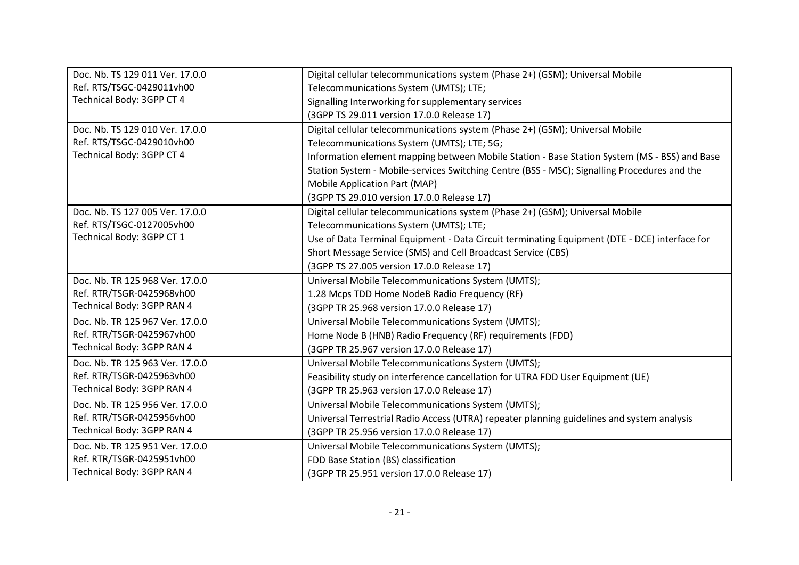| Doc. Nb. TS 129 011 Ver. 17.0.0 | Digital cellular telecommunications system (Phase 2+) (GSM); Universal Mobile                 |
|---------------------------------|-----------------------------------------------------------------------------------------------|
| Ref. RTS/TSGC-0429011vh00       | Telecommunications System (UMTS); LTE;                                                        |
| Technical Body: 3GPP CT 4       | Signalling Interworking for supplementary services                                            |
|                                 | (3GPP TS 29.011 version 17.0.0 Release 17)                                                    |
| Doc. Nb. TS 129 010 Ver. 17.0.0 | Digital cellular telecommunications system (Phase 2+) (GSM); Universal Mobile                 |
| Ref. RTS/TSGC-0429010vh00       | Telecommunications System (UMTS); LTE; 5G;                                                    |
| Technical Body: 3GPP CT 4       | Information element mapping between Mobile Station - Base Station System (MS - BSS) and Base  |
|                                 | Station System - Mobile-services Switching Centre (BSS - MSC); Signalling Procedures and the  |
|                                 | Mobile Application Part (MAP)                                                                 |
|                                 | (3GPP TS 29.010 version 17.0.0 Release 17)                                                    |
| Doc. Nb. TS 127 005 Ver. 17.0.0 | Digital cellular telecommunications system (Phase 2+) (GSM); Universal Mobile                 |
| Ref. RTS/TSGC-0127005vh00       | Telecommunications System (UMTS); LTE;                                                        |
| Technical Body: 3GPP CT 1       | Use of Data Terminal Equipment - Data Circuit terminating Equipment (DTE - DCE) interface for |
|                                 | Short Message Service (SMS) and Cell Broadcast Service (CBS)                                  |
|                                 | (3GPP TS 27.005 version 17.0.0 Release 17)                                                    |
| Doc. Nb. TR 125 968 Ver. 17.0.0 | Universal Mobile Telecommunications System (UMTS);                                            |
| Ref. RTR/TSGR-0425968vh00       | 1.28 Mcps TDD Home NodeB Radio Frequency (RF)                                                 |
| Technical Body: 3GPP RAN 4      | (3GPP TR 25.968 version 17.0.0 Release 17)                                                    |
| Doc. Nb. TR 125 967 Ver. 17.0.0 | Universal Mobile Telecommunications System (UMTS);                                            |
| Ref. RTR/TSGR-0425967vh00       | Home Node B (HNB) Radio Frequency (RF) requirements (FDD)                                     |
| Technical Body: 3GPP RAN 4      | (3GPP TR 25.967 version 17.0.0 Release 17)                                                    |
| Doc. Nb. TR 125 963 Ver. 17.0.0 | Universal Mobile Telecommunications System (UMTS);                                            |
| Ref. RTR/TSGR-0425963vh00       | Feasibility study on interference cancellation for UTRA FDD User Equipment (UE)               |
| Technical Body: 3GPP RAN 4      | (3GPP TR 25.963 version 17.0.0 Release 17)                                                    |
| Doc. Nb. TR 125 956 Ver. 17.0.0 | Universal Mobile Telecommunications System (UMTS);                                            |
| Ref. RTR/TSGR-0425956vh00       | Universal Terrestrial Radio Access (UTRA) repeater planning guidelines and system analysis    |
| Technical Body: 3GPP RAN 4      | (3GPP TR 25.956 version 17.0.0 Release 17)                                                    |
| Doc. Nb. TR 125 951 Ver. 17.0.0 | Universal Mobile Telecommunications System (UMTS);                                            |
| Ref. RTR/TSGR-0425951vh00       | FDD Base Station (BS) classification                                                          |
| Technical Body: 3GPP RAN 4      | (3GPP TR 25.951 version 17.0.0 Release 17)                                                    |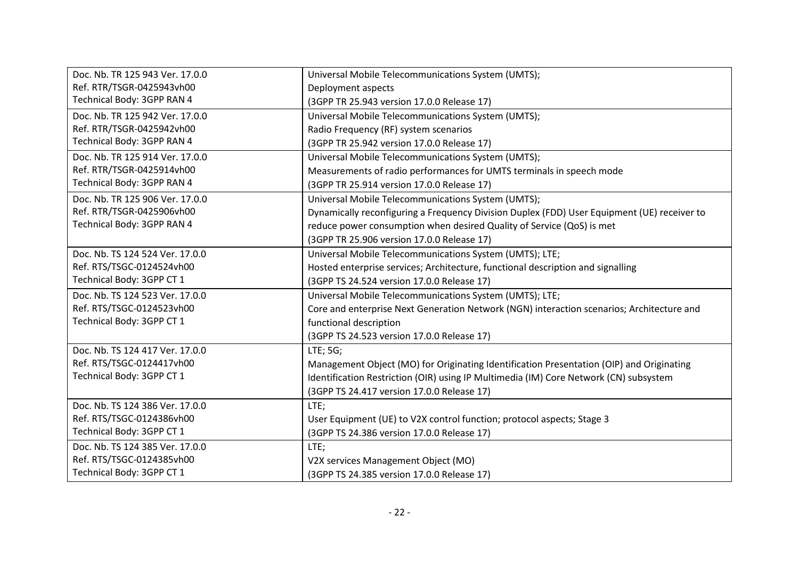| Doc. Nb. TR 125 943 Ver. 17.0.0 | Universal Mobile Telecommunications System (UMTS);                                          |
|---------------------------------|---------------------------------------------------------------------------------------------|
| Ref. RTR/TSGR-0425943vh00       | Deployment aspects                                                                          |
| Technical Body: 3GPP RAN 4      | (3GPP TR 25.943 version 17.0.0 Release 17)                                                  |
| Doc. Nb. TR 125 942 Ver. 17.0.0 | Universal Mobile Telecommunications System (UMTS);                                          |
| Ref. RTR/TSGR-0425942vh00       | Radio Frequency (RF) system scenarios                                                       |
| Technical Body: 3GPP RAN 4      | (3GPP TR 25.942 version 17.0.0 Release 17)                                                  |
| Doc. Nb. TR 125 914 Ver. 17.0.0 | Universal Mobile Telecommunications System (UMTS);                                          |
| Ref. RTR/TSGR-0425914vh00       | Measurements of radio performances for UMTS terminals in speech mode                        |
| Technical Body: 3GPP RAN 4      | (3GPP TR 25.914 version 17.0.0 Release 17)                                                  |
| Doc. Nb. TR 125 906 Ver. 17.0.0 | Universal Mobile Telecommunications System (UMTS);                                          |
| Ref. RTR/TSGR-0425906vh00       | Dynamically reconfiguring a Frequency Division Duplex (FDD) User Equipment (UE) receiver to |
| Technical Body: 3GPP RAN 4      | reduce power consumption when desired Quality of Service (QoS) is met                       |
|                                 | (3GPP TR 25.906 version 17.0.0 Release 17)                                                  |
| Doc. Nb. TS 124 524 Ver. 17.0.0 | Universal Mobile Telecommunications System (UMTS); LTE;                                     |
| Ref. RTS/TSGC-0124524vh00       | Hosted enterprise services; Architecture, functional description and signalling             |
| Technical Body: 3GPP CT 1       | (3GPP TS 24.524 version 17.0.0 Release 17)                                                  |
| Doc. Nb. TS 124 523 Ver. 17.0.0 | Universal Mobile Telecommunications System (UMTS); LTE;                                     |
| Ref. RTS/TSGC-0124523vh00       | Core and enterprise Next Generation Network (NGN) interaction scenarios; Architecture and   |
| Technical Body: 3GPP CT 1       | functional description                                                                      |
|                                 | (3GPP TS 24.523 version 17.0.0 Release 17)                                                  |
| Doc. Nb. TS 124 417 Ver. 17.0.0 | LTE; 5G;                                                                                    |
| Ref. RTS/TSGC-0124417vh00       | Management Object (MO) for Originating Identification Presentation (OIP) and Originating    |
| Technical Body: 3GPP CT 1       | Identification Restriction (OIR) using IP Multimedia (IM) Core Network (CN) subsystem       |
|                                 | (3GPP TS 24.417 version 17.0.0 Release 17)                                                  |
| Doc. Nb. TS 124 386 Ver. 17.0.0 | LTE;                                                                                        |
| Ref. RTS/TSGC-0124386vh00       | User Equipment (UE) to V2X control function; protocol aspects; Stage 3                      |
| Technical Body: 3GPP CT 1       | (3GPP TS 24.386 version 17.0.0 Release 17)                                                  |
| Doc. Nb. TS 124 385 Ver. 17.0.0 | LTE;                                                                                        |
| Ref. RTS/TSGC-0124385vh00       | V2X services Management Object (MO)                                                         |
| Technical Body: 3GPP CT 1       | (3GPP TS 24.385 version 17.0.0 Release 17)                                                  |